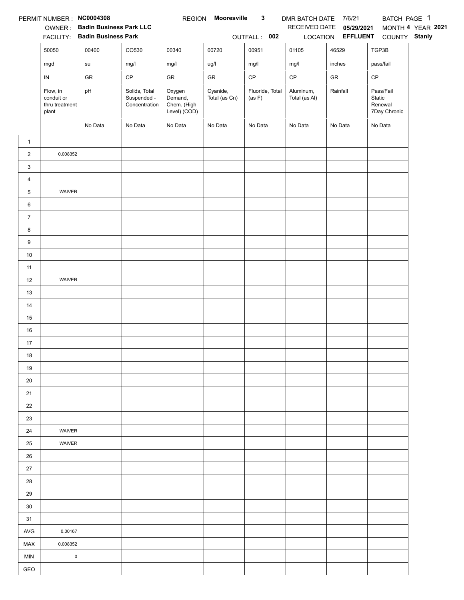|                | PERMIT NUMBER : NC0004308                         |                                |                                               | <b>REGION</b>                                    | <b>Mooresville</b>        | $\mathbf{3}$              | DMR BATCH DATE 7/6/21      |                   | BATCH PAGE 1                                   |                   |
|----------------|---------------------------------------------------|--------------------------------|-----------------------------------------------|--------------------------------------------------|---------------------------|---------------------------|----------------------------|-------------------|------------------------------------------------|-------------------|
|                |                                                   | OWNER: Badin Business Park LLC |                                               |                                                  |                           |                           | RECEIVED DATE              | 05/29/2021        |                                                | MONTH 4 YEAR 2021 |
|                |                                                   | FACILITY: Badin Business Park  |                                               |                                                  |                           | OUTFALL: 002              |                            | LOCATION EFFLUENT | COUNTY Stanly                                  |                   |
|                | 50050                                             | 00400                          | CO530                                         | 00340                                            | 00720                     | 00951                     | 01105                      | 46529             | TGP3B                                          |                   |
|                | mgd                                               | su                             | mg/l                                          | mg/l                                             | ug/l                      | mg/l                      | mg/l                       | inches            | pass/fail                                      |                   |
|                | IN                                                | GR                             | $\mathsf{CP}$                                 | ${\sf GR}$                                       | GR                        | $\mathsf{CP}$             | $\mathsf{CP}$              | ${\sf GR}$        | CP                                             |                   |
|                | Flow, in<br>conduit or<br>thru treatment<br>plant | pH                             | Solids, Total<br>Suspended -<br>Concentration | Oxygen<br>Demand,<br>Chem. (High<br>Level) (COD) | Cyanide,<br>Total (as Cn) | Fluoride, Total<br>(as F) | Aluminum,<br>Total (as Al) | Rainfall          | Pass/Fail<br>Static<br>Renewal<br>7Day Chronic |                   |
|                |                                                   | No Data                        | No Data                                       | No Data                                          | No Data                   | No Data                   | No Data                    | No Data           | No Data                                        |                   |
| $\mathbf{1}$   |                                                   |                                |                                               |                                                  |                           |                           |                            |                   |                                                |                   |
| $\overline{2}$ | 0.008352                                          |                                |                                               |                                                  |                           |                           |                            |                   |                                                |                   |
| 3              |                                                   |                                |                                               |                                                  |                           |                           |                            |                   |                                                |                   |
| 4              |                                                   |                                |                                               |                                                  |                           |                           |                            |                   |                                                |                   |
| 5              | WAIVER                                            |                                |                                               |                                                  |                           |                           |                            |                   |                                                |                   |
| 6              |                                                   |                                |                                               |                                                  |                           |                           |                            |                   |                                                |                   |
| $\overline{7}$ |                                                   |                                |                                               |                                                  |                           |                           |                            |                   |                                                |                   |
| 8              |                                                   |                                |                                               |                                                  |                           |                           |                            |                   |                                                |                   |
| 9              |                                                   |                                |                                               |                                                  |                           |                           |                            |                   |                                                |                   |
| $10\,$         |                                                   |                                |                                               |                                                  |                           |                           |                            |                   |                                                |                   |
| 11             |                                                   |                                |                                               |                                                  |                           |                           |                            |                   |                                                |                   |
| 12             | WAIVER                                            |                                |                                               |                                                  |                           |                           |                            |                   |                                                |                   |
| 13             |                                                   |                                |                                               |                                                  |                           |                           |                            |                   |                                                |                   |
| 14             |                                                   |                                |                                               |                                                  |                           |                           |                            |                   |                                                |                   |
| 15             |                                                   |                                |                                               |                                                  |                           |                           |                            |                   |                                                |                   |
| 16             |                                                   |                                |                                               |                                                  |                           |                           |                            |                   |                                                |                   |
| 17             |                                                   |                                |                                               |                                                  |                           |                           |                            |                   |                                                |                   |
| 18             |                                                   |                                |                                               |                                                  |                           |                           |                            |                   |                                                |                   |
| 19             |                                                   |                                |                                               |                                                  |                           |                           |                            |                   |                                                |                   |
| 20             |                                                   |                                |                                               |                                                  |                           |                           |                            |                   |                                                |                   |
| 21             |                                                   |                                |                                               |                                                  |                           |                           |                            |                   |                                                |                   |
| 22             |                                                   |                                |                                               |                                                  |                           |                           |                            |                   |                                                |                   |
| 23             |                                                   |                                |                                               |                                                  |                           |                           |                            |                   |                                                |                   |
| 24             | WAIVER                                            |                                |                                               |                                                  |                           |                           |                            |                   |                                                |                   |
| 25             | WAIVER                                            |                                |                                               |                                                  |                           |                           |                            |                   |                                                |                   |
| 26             |                                                   |                                |                                               |                                                  |                           |                           |                            |                   |                                                |                   |
| $27\,$         |                                                   |                                |                                               |                                                  |                           |                           |                            |                   |                                                |                   |
| 28             |                                                   |                                |                                               |                                                  |                           |                           |                            |                   |                                                |                   |
| 29             |                                                   |                                |                                               |                                                  |                           |                           |                            |                   |                                                |                   |
| 30             |                                                   |                                |                                               |                                                  |                           |                           |                            |                   |                                                |                   |
| 31             |                                                   |                                |                                               |                                                  |                           |                           |                            |                   |                                                |                   |
| AVG            | 0.00167                                           |                                |                                               |                                                  |                           |                           |                            |                   |                                                |                   |
| <b>MAX</b>     | 0.008352                                          |                                |                                               |                                                  |                           |                           |                            |                   |                                                |                   |
| <b>MIN</b>     | $\pmb{0}$                                         |                                |                                               |                                                  |                           |                           |                            |                   |                                                |                   |
| GEO            |                                                   |                                |                                               |                                                  |                           |                           |                            |                   |                                                |                   |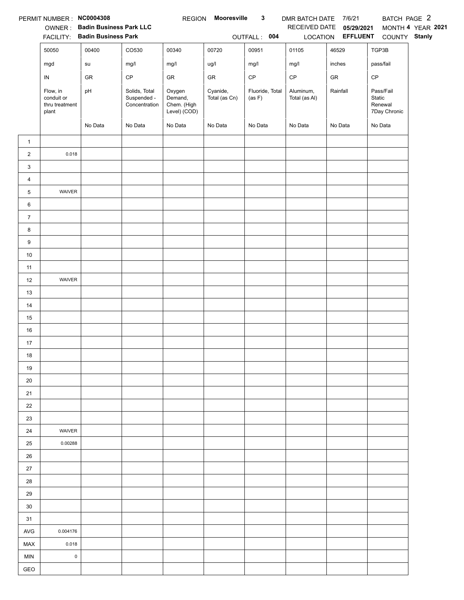|                | PERMIT NUMBER: NC0004308                          |                                |                                               | <b>REGION</b>                                    | Mooresville               | 3                         | DMR BATCH DATE 7/6/21      |                   | BATCH PAGE 2                                   |                   |
|----------------|---------------------------------------------------|--------------------------------|-----------------------------------------------|--------------------------------------------------|---------------------------|---------------------------|----------------------------|-------------------|------------------------------------------------|-------------------|
|                |                                                   | OWNER: Badin Business Park LLC |                                               |                                                  |                           |                           | RECEIVED DATE              | 05/29/2021        |                                                | MONTH 4 YEAR 2021 |
|                |                                                   | FACILITY: Badin Business Park  |                                               |                                                  |                           | OUTFALL: 004              |                            | LOCATION EFFLUENT | COUNTY Stanly                                  |                   |
|                | 50050                                             | 00400                          | CO530                                         | 00340                                            | 00720                     | 00951                     | 01105                      | 46529             | TGP3B                                          |                   |
|                | mgd                                               | su                             | mg/l                                          | mg/l                                             | ug/l                      | mg/l                      | mg/l                       | inches            | pass/fail                                      |                   |
|                | IN                                                | GR                             | $\mathsf{CP}$                                 | GR                                               | GR                        | $\mathsf{CP}$             | $\mathsf{CP}$              | ${\sf GR}$        | CP                                             |                   |
|                | Flow, in<br>conduit or<br>thru treatment<br>plant | pH                             | Solids, Total<br>Suspended -<br>Concentration | Oxygen<br>Demand,<br>Chem. (High<br>Level) (COD) | Cyanide,<br>Total (as Cn) | Fluoride, Total<br>(as F) | Aluminum,<br>Total (as Al) | Rainfall          | Pass/Fail<br>Static<br>Renewal<br>7Day Chronic |                   |
|                |                                                   | No Data                        | No Data                                       | No Data                                          | No Data                   | No Data                   | No Data                    | No Data           | No Data                                        |                   |
| $\mathbf{1}$   |                                                   |                                |                                               |                                                  |                           |                           |                            |                   |                                                |                   |
| $\overline{2}$ | 0.018                                             |                                |                                               |                                                  |                           |                           |                            |                   |                                                |                   |
| 3              |                                                   |                                |                                               |                                                  |                           |                           |                            |                   |                                                |                   |
| 4              |                                                   |                                |                                               |                                                  |                           |                           |                            |                   |                                                |                   |
| 5              | WAIVER                                            |                                |                                               |                                                  |                           |                           |                            |                   |                                                |                   |
| 6              |                                                   |                                |                                               |                                                  |                           |                           |                            |                   |                                                |                   |
| $\overline{7}$ |                                                   |                                |                                               |                                                  |                           |                           |                            |                   |                                                |                   |
| 8              |                                                   |                                |                                               |                                                  |                           |                           |                            |                   |                                                |                   |
| 9              |                                                   |                                |                                               |                                                  |                           |                           |                            |                   |                                                |                   |
| $10\,$         |                                                   |                                |                                               |                                                  |                           |                           |                            |                   |                                                |                   |
| 11             |                                                   |                                |                                               |                                                  |                           |                           |                            |                   |                                                |                   |
| 12             | WAIVER                                            |                                |                                               |                                                  |                           |                           |                            |                   |                                                |                   |
| 13             |                                                   |                                |                                               |                                                  |                           |                           |                            |                   |                                                |                   |
| 14             |                                                   |                                |                                               |                                                  |                           |                           |                            |                   |                                                |                   |
| 15             |                                                   |                                |                                               |                                                  |                           |                           |                            |                   |                                                |                   |
| 16             |                                                   |                                |                                               |                                                  |                           |                           |                            |                   |                                                |                   |
| 17             |                                                   |                                |                                               |                                                  |                           |                           |                            |                   |                                                |                   |
| 18             |                                                   |                                |                                               |                                                  |                           |                           |                            |                   |                                                |                   |
| 19             |                                                   |                                |                                               |                                                  |                           |                           |                            |                   |                                                |                   |
| 20             |                                                   |                                |                                               |                                                  |                           |                           |                            |                   |                                                |                   |
| 21             |                                                   |                                |                                               |                                                  |                           |                           |                            |                   |                                                |                   |
| 22             |                                                   |                                |                                               |                                                  |                           |                           |                            |                   |                                                |                   |
| 23             |                                                   |                                |                                               |                                                  |                           |                           |                            |                   |                                                |                   |
| 24             | WAIVER                                            |                                |                                               |                                                  |                           |                           |                            |                   |                                                |                   |
| 25             | 0.00288                                           |                                |                                               |                                                  |                           |                           |                            |                   |                                                |                   |
| 26             |                                                   |                                |                                               |                                                  |                           |                           |                            |                   |                                                |                   |
| $27\,$         |                                                   |                                |                                               |                                                  |                           |                           |                            |                   |                                                |                   |
| 28             |                                                   |                                |                                               |                                                  |                           |                           |                            |                   |                                                |                   |
| 29             |                                                   |                                |                                               |                                                  |                           |                           |                            |                   |                                                |                   |
| 30             |                                                   |                                |                                               |                                                  |                           |                           |                            |                   |                                                |                   |
| 31             |                                                   |                                |                                               |                                                  |                           |                           |                            |                   |                                                |                   |
| AVG            | 0.004176                                          |                                |                                               |                                                  |                           |                           |                            |                   |                                                |                   |
| <b>MAX</b>     | 0.018                                             |                                |                                               |                                                  |                           |                           |                            |                   |                                                |                   |
| <b>MIN</b>     | $\mathsf 0$                                       |                                |                                               |                                                  |                           |                           |                            |                   |                                                |                   |
| GEO            |                                                   |                                |                                               |                                                  |                           |                           |                            |                   |                                                |                   |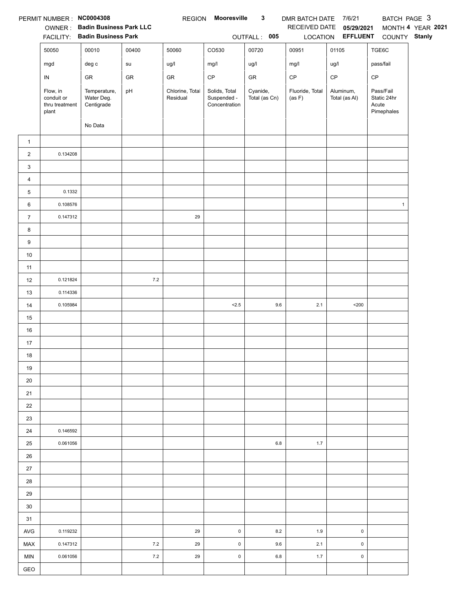|                | PERMIT NUMBER: NC0004308                 | OWNER: Badin Business Park LLC<br>FACILITY: Badin Business Park |       | <b>REGION</b>               | Mooresville                                   | $\mathbf{3}$<br>OUTFALL: 005 | DMR BATCH DATE 7/6/21<br>RECEIVED DATE | 05/29/2021<br>LOCATION <b>EFFLUENT</b> | BATCH PAGE 3<br>COUNTY Stanly     | MONTH 4 YEAR 2021 |
|----------------|------------------------------------------|-----------------------------------------------------------------|-------|-----------------------------|-----------------------------------------------|------------------------------|----------------------------------------|----------------------------------------|-----------------------------------|-------------------|
|                | 50050                                    | 00010                                                           | 00400 | 50060                       | CO530                                         | 00720                        | 00951                                  | 01105                                  | TGE6C                             |                   |
|                | mgd                                      | $\deg$ $\mathtt{c}$                                             | su    | ug/l                        | mg/l                                          | ug/l                         | mg/l                                   | ug/l                                   | pass/fail                         |                   |
|                | $\sf IN$                                 | ${\sf GR}$                                                      | GR    | GR                          | CP                                            | ${\sf GR}$                   | $\mathsf{CP}$                          | $\mathsf{CP}$                          | CP                                |                   |
|                | Flow, in<br>conduit or<br>thru treatment | Temperature,<br>Water Deg.<br>Centigrade                        | pH    | Chlorine, Total<br>Residual | Solids, Total<br>Suspended -<br>Concentration | Cyanide,<br>Total (as Cn)    | Fluoride, Total<br>(as F)              | Aluminum,<br>Total (as Al)             | Pass/Fail<br>Static 24hr<br>Acute |                   |
|                | plant                                    |                                                                 |       |                             |                                               |                              |                                        |                                        | Pimephales                        |                   |
|                |                                          | No Data                                                         |       |                             |                                               |                              |                                        |                                        |                                   |                   |
| $\mathbf{1}$   |                                          |                                                                 |       |                             |                                               |                              |                                        |                                        |                                   |                   |
| $\overline{c}$ | 0.134208                                 |                                                                 |       |                             |                                               |                              |                                        |                                        |                                   |                   |
| 3              |                                          |                                                                 |       |                             |                                               |                              |                                        |                                        |                                   |                   |
| 4              |                                          |                                                                 |       |                             |                                               |                              |                                        |                                        |                                   |                   |
| 5              | 0.1332                                   |                                                                 |       |                             |                                               |                              |                                        |                                        |                                   |                   |
| 6              | 0.108576                                 |                                                                 |       |                             |                                               |                              |                                        |                                        | $\mathbf{1}$                      |                   |
| $\overline{7}$ | 0.147312                                 |                                                                 |       | 29                          |                                               |                              |                                        |                                        |                                   |                   |
| 8              |                                          |                                                                 |       |                             |                                               |                              |                                        |                                        |                                   |                   |
| 9              |                                          |                                                                 |       |                             |                                               |                              |                                        |                                        |                                   |                   |
| $10\,$         |                                          |                                                                 |       |                             |                                               |                              |                                        |                                        |                                   |                   |
| 11             |                                          |                                                                 |       |                             |                                               |                              |                                        |                                        |                                   |                   |
| 12             | 0.121824                                 |                                                                 | 7.2   |                             |                                               |                              |                                        |                                        |                                   |                   |
| 13             | 0.114336                                 |                                                                 |       |                             |                                               |                              |                                        |                                        |                                   |                   |
| 14             | 0.105984                                 |                                                                 |       |                             | 2.5                                           | 9.6                          | 2.1                                    | $200$                                  |                                   |                   |
| 15             |                                          |                                                                 |       |                             |                                               |                              |                                        |                                        |                                   |                   |
| 16             |                                          |                                                                 |       |                             |                                               |                              |                                        |                                        |                                   |                   |
| 17             |                                          |                                                                 |       |                             |                                               |                              |                                        |                                        |                                   |                   |
| 18             |                                          |                                                                 |       |                             |                                               |                              |                                        |                                        |                                   |                   |
| 19             |                                          |                                                                 |       |                             |                                               |                              |                                        |                                        |                                   |                   |
| 20             |                                          |                                                                 |       |                             |                                               |                              |                                        |                                        |                                   |                   |
| 21             |                                          |                                                                 |       |                             |                                               |                              |                                        |                                        |                                   |                   |
| 22             |                                          |                                                                 |       |                             |                                               |                              |                                        |                                        |                                   |                   |
| 23             |                                          |                                                                 |       |                             |                                               |                              |                                        |                                        |                                   |                   |
| 24             | 0.146592                                 |                                                                 |       |                             |                                               |                              |                                        |                                        |                                   |                   |
| 25             | 0.061056                                 |                                                                 |       |                             |                                               | 6.8                          | 1.7                                    |                                        |                                   |                   |
| 26             |                                          |                                                                 |       |                             |                                               |                              |                                        |                                        |                                   |                   |
| 27             |                                          |                                                                 |       |                             |                                               |                              |                                        |                                        |                                   |                   |
| 28             |                                          |                                                                 |       |                             |                                               |                              |                                        |                                        |                                   |                   |
| 29             |                                          |                                                                 |       |                             |                                               |                              |                                        |                                        |                                   |                   |
| 30             |                                          |                                                                 |       |                             |                                               |                              |                                        |                                        |                                   |                   |
| 31             |                                          |                                                                 |       |                             |                                               |                              |                                        |                                        |                                   |                   |
| AVG            | 0.119232                                 |                                                                 |       | 29                          | 0                                             | 8.2                          | 1.9                                    | $\pmb{0}$                              |                                   |                   |
| <b>MAX</b>     | 0.147312                                 |                                                                 | 7.2   | 29                          | $\pmb{0}$                                     | 9.6                          | 2.1                                    | $\pmb{0}$                              |                                   |                   |
| <b>MIN</b>     | 0.061056                                 |                                                                 | 7.2   | 29                          | $\pmb{0}$                                     | $6.8\,$                      | 1.7                                    | $\pmb{0}$                              |                                   |                   |
| GEO            |                                          |                                                                 |       |                             |                                               |                              |                                        |                                        |                                   |                   |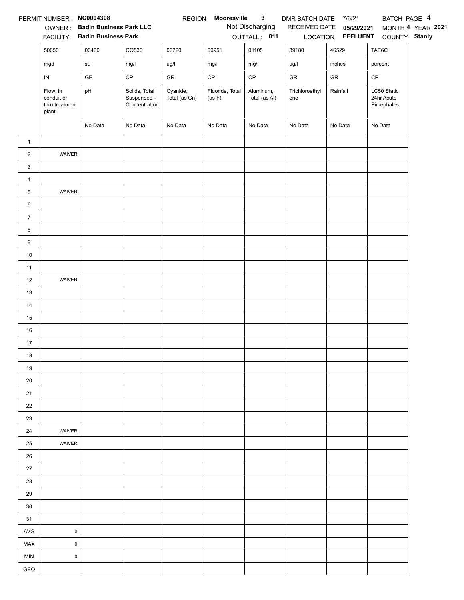|                | PERMIT NUMBER : NC0004308                         |                                        |                                               | <b>REGION</b>             | Mooresville               | $\mathbf{3}$               | DMR BATCH DATE 7/6/21 |                                   | BATCH PAGE 4                            |                   |
|----------------|---------------------------------------------------|----------------------------------------|-----------------------------------------------|---------------------------|---------------------------|----------------------------|-----------------------|-----------------------------------|-----------------------------------------|-------------------|
|                |                                                   | OWNER: Badin Business Park LLC         |                                               |                           |                           | Not Discharging            |                       | RECEIVED DATE 05/29/2021          |                                         | MONTH 4 YEAR 2021 |
|                | 50050                                             | FACILITY: Badin Business Park<br>00400 | CO530                                         | 00720                     | 00951                     | OUTFALL: 011<br>01105      | 39180                 | LOCATION <b>EFFLUENT</b><br>46529 | COUNTY Stanly<br>TAE6C                  |                   |
|                |                                                   |                                        |                                               |                           |                           |                            |                       |                                   |                                         |                   |
|                | mgd                                               | su                                     | mg/l                                          | ug/l                      | mg/l                      | mg/l                       | ug/l                  | inches                            | percent                                 |                   |
|                | ${\sf IN}$                                        | GR                                     | $\mathsf{CP}$                                 | GR                        | $\mathsf{CP}$             | $\mathsf{CP}$              | GR                    | GR                                | CP                                      |                   |
|                | Flow, in<br>conduit or<br>thru treatment<br>plant | pH                                     | Solids, Total<br>Suspended -<br>Concentration | Cyanide,<br>Total (as Cn) | Fluoride, Total<br>(as F) | Aluminum,<br>Total (as Al) | Trichloroethyl<br>ene | Rainfall                          | LC50 Static<br>24hr Acute<br>Pimephales |                   |
|                |                                                   | No Data                                | No Data                                       | No Data                   | No Data                   | No Data                    | No Data               | No Data                           | No Data                                 |                   |
| $\mathbf{1}$   |                                                   |                                        |                                               |                           |                           |                            |                       |                                   |                                         |                   |
| $\overline{2}$ | WAIVER                                            |                                        |                                               |                           |                           |                            |                       |                                   |                                         |                   |
| 3              |                                                   |                                        |                                               |                           |                           |                            |                       |                                   |                                         |                   |
| $\overline{4}$ |                                                   |                                        |                                               |                           |                           |                            |                       |                                   |                                         |                   |
| 5              | WAIVER                                            |                                        |                                               |                           |                           |                            |                       |                                   |                                         |                   |
| 6              |                                                   |                                        |                                               |                           |                           |                            |                       |                                   |                                         |                   |
| $\overline{7}$ |                                                   |                                        |                                               |                           |                           |                            |                       |                                   |                                         |                   |
| 8              |                                                   |                                        |                                               |                           |                           |                            |                       |                                   |                                         |                   |
| 9              |                                                   |                                        |                                               |                           |                           |                            |                       |                                   |                                         |                   |
| $10\,$         |                                                   |                                        |                                               |                           |                           |                            |                       |                                   |                                         |                   |
| 11             |                                                   |                                        |                                               |                           |                           |                            |                       |                                   |                                         |                   |
| 12             | WAIVER                                            |                                        |                                               |                           |                           |                            |                       |                                   |                                         |                   |
| 13             |                                                   |                                        |                                               |                           |                           |                            |                       |                                   |                                         |                   |
| 14             |                                                   |                                        |                                               |                           |                           |                            |                       |                                   |                                         |                   |
| 15             |                                                   |                                        |                                               |                           |                           |                            |                       |                                   |                                         |                   |
| 16             |                                                   |                                        |                                               |                           |                           |                            |                       |                                   |                                         |                   |
| 17             |                                                   |                                        |                                               |                           |                           |                            |                       |                                   |                                         |                   |
| 18             |                                                   |                                        |                                               |                           |                           |                            |                       |                                   |                                         |                   |
| 19             |                                                   |                                        |                                               |                           |                           |                            |                       |                                   |                                         |                   |
| 20             |                                                   |                                        |                                               |                           |                           |                            |                       |                                   |                                         |                   |
| 21             |                                                   |                                        |                                               |                           |                           |                            |                       |                                   |                                         |                   |
| 22             |                                                   |                                        |                                               |                           |                           |                            |                       |                                   |                                         |                   |
| 23             |                                                   |                                        |                                               |                           |                           |                            |                       |                                   |                                         |                   |
| 24             | WAIVER                                            |                                        |                                               |                           |                           |                            |                       |                                   |                                         |                   |
| 25             | WAIVER                                            |                                        |                                               |                           |                           |                            |                       |                                   |                                         |                   |
| 26             |                                                   |                                        |                                               |                           |                           |                            |                       |                                   |                                         |                   |
| 27             |                                                   |                                        |                                               |                           |                           |                            |                       |                                   |                                         |                   |
| 28             |                                                   |                                        |                                               |                           |                           |                            |                       |                                   |                                         |                   |
| 29             |                                                   |                                        |                                               |                           |                           |                            |                       |                                   |                                         |                   |
| 30             |                                                   |                                        |                                               |                           |                           |                            |                       |                                   |                                         |                   |
| 31             |                                                   |                                        |                                               |                           |                           |                            |                       |                                   |                                         |                   |
| <b>AVG</b>     | $\pmb{0}$                                         |                                        |                                               |                           |                           |                            |                       |                                   |                                         |                   |
| MAX            | $\mathsf{O}\xspace$                               |                                        |                                               |                           |                           |                            |                       |                                   |                                         |                   |
| <b>MIN</b>     | $\pmb{0}$                                         |                                        |                                               |                           |                           |                            |                       |                                   |                                         |                   |
| GEO            |                                                   |                                        |                                               |                           |                           |                            |                       |                                   |                                         |                   |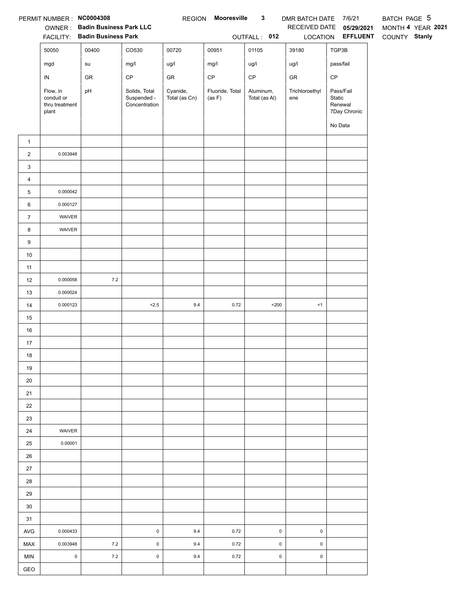|                | PERMIT NUMBER : NC0004308<br><b>FACILITY:</b>     | OWNER: Badin Business Park LLC<br><b>Badin Business Park</b> |                                               | <b>REGION</b>             | Mooresville               | $\mathbf{3}$<br>OUTFALL: 012 | DMR BATCH DATE 7/6/21 | RECEIVED DATE 05/29/2021<br>LOCATION EFFLUENT             | BATCH PAGE 5<br>MONTH 4 YEAR 2021<br>COUNTY Stanly |
|----------------|---------------------------------------------------|--------------------------------------------------------------|-----------------------------------------------|---------------------------|---------------------------|------------------------------|-----------------------|-----------------------------------------------------------|----------------------------------------------------|
|                | 50050                                             | 00400                                                        | CO530                                         | 00720                     | 00951                     | 01105                        | 39180                 | TGP3B                                                     |                                                    |
|                | mgd                                               | su                                                           | mg/l                                          | ug/l                      | mg/l                      | ug/l                         | ug/l                  | pass/fail                                                 |                                                    |
|                | IN                                                | GR                                                           | CP                                            | GR                        | $\mathsf{CP}$             | $\mathsf{CP}$                | GR                    | $\mathsf{CP}$                                             |                                                    |
|                | Flow, in<br>conduit or<br>thru treatment<br>plant | pH                                                           | Solids, Total<br>Suspended -<br>Concentration | Cyanide,<br>Total (as Cn) | Fluoride, Total<br>(as F) | Aluminum,<br>Total (as Al)   | Trichloroethyl<br>ene | Pass/Fail<br>Static<br>Renewal<br>7Day Chronic<br>No Data |                                                    |
| $\mathbf{1}$   |                                                   |                                                              |                                               |                           |                           |                              |                       |                                                           |                                                    |
| $\overline{c}$ | 0.003948                                          |                                                              |                                               |                           |                           |                              |                       |                                                           |                                                    |
| 3              |                                                   |                                                              |                                               |                           |                           |                              |                       |                                                           |                                                    |
| 4              |                                                   |                                                              |                                               |                           |                           |                              |                       |                                                           |                                                    |
| 5              | 0.000042                                          |                                                              |                                               |                           |                           |                              |                       |                                                           |                                                    |
| 6              | 0.000127                                          |                                                              |                                               |                           |                           |                              |                       |                                                           |                                                    |
| $\overline{7}$ | WAIVER                                            |                                                              |                                               |                           |                           |                              |                       |                                                           |                                                    |
| 8              | WAIVER                                            |                                                              |                                               |                           |                           |                              |                       |                                                           |                                                    |
| 9              |                                                   |                                                              |                                               |                           |                           |                              |                       |                                                           |                                                    |
| 10             |                                                   |                                                              |                                               |                           |                           |                              |                       |                                                           |                                                    |
| 11             |                                                   |                                                              |                                               |                           |                           |                              |                       |                                                           |                                                    |
| 12             | 0.000058                                          | $7.2\,$                                                      |                                               |                           |                           |                              |                       |                                                           |                                                    |
| 13             | 0.000024                                          |                                                              |                                               |                           |                           |                              |                       |                                                           |                                                    |
| 14             | 0.000123                                          |                                                              | < 2.5                                         | $9.4\,$                   | 0.72                      | $200$                        | <1                    |                                                           |                                                    |
| 15             |                                                   |                                                              |                                               |                           |                           |                              |                       |                                                           |                                                    |
| 16             |                                                   |                                                              |                                               |                           |                           |                              |                       |                                                           |                                                    |
| 17             |                                                   |                                                              |                                               |                           |                           |                              |                       |                                                           |                                                    |
| 18             |                                                   |                                                              |                                               |                           |                           |                              |                       |                                                           |                                                    |
| 19             |                                                   |                                                              |                                               |                           |                           |                              |                       |                                                           |                                                    |
| $20\,$         |                                                   |                                                              |                                               |                           |                           |                              |                       |                                                           |                                                    |
| 21             |                                                   |                                                              |                                               |                           |                           |                              |                       |                                                           |                                                    |
| 22             |                                                   |                                                              |                                               |                           |                           |                              |                       |                                                           |                                                    |
| 23             |                                                   |                                                              |                                               |                           |                           |                              |                       |                                                           |                                                    |
| 24             | WAIVER                                            |                                                              |                                               |                           |                           |                              |                       |                                                           |                                                    |
| 25             | 0.00001                                           |                                                              |                                               |                           |                           |                              |                       |                                                           |                                                    |
| 26             |                                                   |                                                              |                                               |                           |                           |                              |                       |                                                           |                                                    |
| 27             |                                                   |                                                              |                                               |                           |                           |                              |                       |                                                           |                                                    |
| 28             |                                                   |                                                              |                                               |                           |                           |                              |                       |                                                           |                                                    |
| 29             |                                                   |                                                              |                                               |                           |                           |                              |                       |                                                           |                                                    |
| 30             |                                                   |                                                              |                                               |                           |                           |                              |                       |                                                           |                                                    |
| 31             |                                                   |                                                              |                                               |                           |                           |                              |                       |                                                           |                                                    |
| AVG            | 0.000433                                          |                                                              | $\mathsf 0$                                   | 9.4                       | 0.72                      | $\mathsf 0$                  | $\pmb{0}$             |                                                           |                                                    |
| MAX            | 0.003948                                          | 7.2                                                          | $\pmb{0}$                                     | 9.4                       | 0.72                      | $\pmb{0}$<br>$\pmb{0}$       | $\mathsf 0$           |                                                           |                                                    |
| <b>MIN</b>     | $\mathsf{O}\xspace$                               | $7.2\,$                                                      | $\pmb{0}$                                     | 9.4                       | 0.72                      |                              | $\pmb{0}$             |                                                           |                                                    |
| GEO            |                                                   |                                                              |                                               |                           |                           |                              |                       |                                                           |                                                    |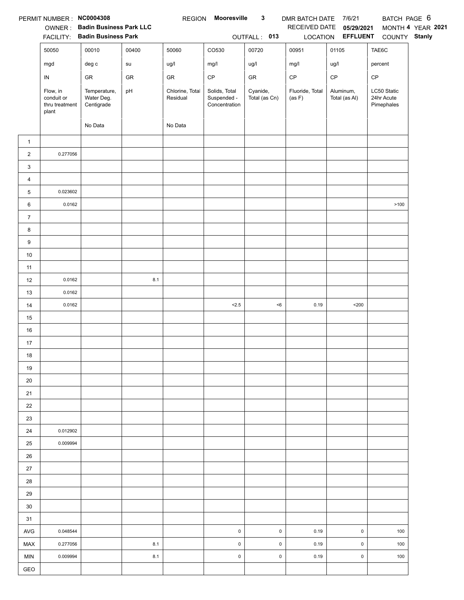|                | PERMIT NUMBER: NC0004308                          |                                          |       | <b>REGION</b>               | <b>Mooresville</b>                            | $\mathbf{3}$              | DMR BATCH DATE 7/6/21     |                            | BATCH PAGE 6                            |                   |
|----------------|---------------------------------------------------|------------------------------------------|-------|-----------------------------|-----------------------------------------------|---------------------------|---------------------------|----------------------------|-----------------------------------------|-------------------|
|                |                                                   | OWNER: Badin Business Park LLC           |       |                             |                                               |                           | RECEIVED DATE             | 05/29/2021                 |                                         | MONTH 4 YEAR 2021 |
|                |                                                   | FACILITY: Badin Business Park            |       |                             |                                               | OUTFALL: 013              |                           | LOCATION EFFLUENT          | COUNTY Stanly                           |                   |
|                | 50050                                             | 00010                                    | 00400 | 50060                       | CO530                                         | 00720                     | 00951                     | 01105                      | TAE6C                                   |                   |
|                | mgd                                               | deg c                                    | su    | ug/l                        | mg/l                                          | ug/l                      | mg/l                      | ug/l                       | percent                                 |                   |
|                | IN                                                | GR                                       | GR    | GR                          | $\mathsf{CP}$                                 | ${\sf GR}$                | $\mathsf{CP}$             | CP                         | CP                                      |                   |
|                | Flow, in<br>conduit or<br>thru treatment<br>plant | Temperature,<br>Water Deg.<br>Centigrade | pH    | Chlorine, Total<br>Residual | Solids, Total<br>Suspended -<br>Concentration | Cyanide,<br>Total (as Cn) | Fluoride, Total<br>(as F) | Aluminum,<br>Total (as Al) | LC50 Static<br>24hr Acute<br>Pimephales |                   |
|                |                                                   | No Data                                  |       | No Data                     |                                               |                           |                           |                            |                                         |                   |
| $\mathbf{1}$   |                                                   |                                          |       |                             |                                               |                           |                           |                            |                                         |                   |
| $\overline{2}$ | 0.277056                                          |                                          |       |                             |                                               |                           |                           |                            |                                         |                   |
| 3              |                                                   |                                          |       |                             |                                               |                           |                           |                            |                                         |                   |
| 4              |                                                   |                                          |       |                             |                                               |                           |                           |                            |                                         |                   |
| 5              | 0.023602                                          |                                          |       |                             |                                               |                           |                           |                            |                                         |                   |
| 6              | 0.0162                                            |                                          |       |                             |                                               |                           |                           |                            | >100                                    |                   |
| $\overline{7}$ |                                                   |                                          |       |                             |                                               |                           |                           |                            |                                         |                   |
| 8              |                                                   |                                          |       |                             |                                               |                           |                           |                            |                                         |                   |
| 9              |                                                   |                                          |       |                             |                                               |                           |                           |                            |                                         |                   |
| $10\,$         |                                                   |                                          |       |                             |                                               |                           |                           |                            |                                         |                   |
| 11             |                                                   |                                          |       |                             |                                               |                           |                           |                            |                                         |                   |
| 12             | 0.0162                                            |                                          | 8.1   |                             |                                               |                           |                           |                            |                                         |                   |
| 13             | 0.0162                                            |                                          |       |                             |                                               |                           |                           |                            |                                         |                   |
| 14             | 0.0162                                            |                                          |       |                             | < 2.5                                         | < 6                       | 0.19                      | $200$                      |                                         |                   |
| 15             |                                                   |                                          |       |                             |                                               |                           |                           |                            |                                         |                   |
| 16             |                                                   |                                          |       |                             |                                               |                           |                           |                            |                                         |                   |
| 17             |                                                   |                                          |       |                             |                                               |                           |                           |                            |                                         |                   |
| 18             |                                                   |                                          |       |                             |                                               |                           |                           |                            |                                         |                   |
| 19             |                                                   |                                          |       |                             |                                               |                           |                           |                            |                                         |                   |
| 20             |                                                   |                                          |       |                             |                                               |                           |                           |                            |                                         |                   |
| 21             |                                                   |                                          |       |                             |                                               |                           |                           |                            |                                         |                   |
| 22             |                                                   |                                          |       |                             |                                               |                           |                           |                            |                                         |                   |
| 23             |                                                   |                                          |       |                             |                                               |                           |                           |                            |                                         |                   |
| 24             | 0.012902                                          |                                          |       |                             |                                               |                           |                           |                            |                                         |                   |
| 25             | 0.009994                                          |                                          |       |                             |                                               |                           |                           |                            |                                         |                   |
| 26             |                                                   |                                          |       |                             |                                               |                           |                           |                            |                                         |                   |
| 27             |                                                   |                                          |       |                             |                                               |                           |                           |                            |                                         |                   |
| 28             |                                                   |                                          |       |                             |                                               |                           |                           |                            |                                         |                   |
| 29             |                                                   |                                          |       |                             |                                               |                           |                           |                            |                                         |                   |
| 30             |                                                   |                                          |       |                             |                                               |                           |                           |                            |                                         |                   |
| 31             |                                                   |                                          |       |                             |                                               |                           |                           |                            |                                         |                   |
| AVG            | 0.048544                                          |                                          |       |                             | $\pmb{0}$                                     | $\pmb{0}$                 | 0.19                      | $\pmb{0}$                  | 100                                     |                   |
| <b>MAX</b>     | 0.277056                                          |                                          | 8.1   |                             | $\pmb{0}$                                     | $\pmb{0}$                 | 0.19                      | $\pmb{0}$                  | 100                                     |                   |
| <b>MIN</b>     | 0.009994                                          |                                          | 8.1   |                             | $\pmb{0}$                                     | $\pmb{0}$                 | 0.19                      | $\pmb{0}$                  | 100                                     |                   |
| GEO            |                                                   |                                          |       |                             |                                               |                           |                           |                            |                                         |                   |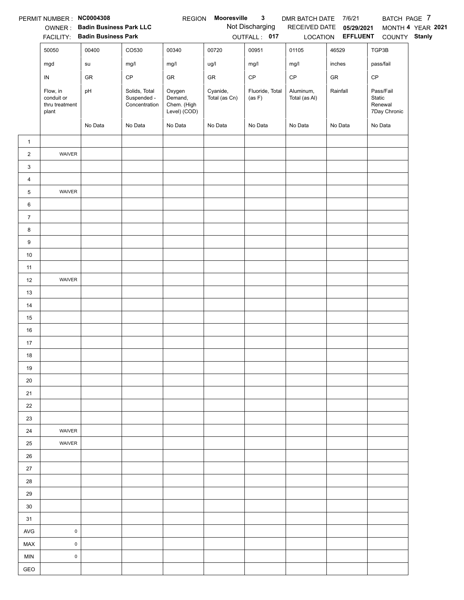|                | PERMIT NUMBER : NC0004308                         |                                |                                               | <b>REGION</b>                                    | Mooresville               | $\mathbf{3}$              | DMR BATCH DATE 7/6/21      |                   | BATCH PAGE 7                                   |                   |
|----------------|---------------------------------------------------|--------------------------------|-----------------------------------------------|--------------------------------------------------|---------------------------|---------------------------|----------------------------|-------------------|------------------------------------------------|-------------------|
|                |                                                   | OWNER: Badin Business Park LLC |                                               |                                                  |                           | Not Discharging           | RECEIVED DATE              | 05/29/2021        |                                                | MONTH 4 YEAR 2021 |
|                |                                                   | FACILITY: Badin Business Park  |                                               |                                                  |                           | OUTFALL: 017              |                            | LOCATION EFFLUENT | COUNTY Stanly                                  |                   |
|                | 50050                                             | 00400                          | CO530                                         | 00340                                            | 00720                     | 00951                     | 01105                      | 46529             | TGP3B                                          |                   |
|                | mgd                                               | su                             | mg/l                                          | mg/l                                             | ug/l                      | mg/l                      | mg/l                       | inches            | pass/fail                                      |                   |
|                | ${\sf IN}$                                        | GR                             | CP                                            | GR                                               | ${\sf GR}$                | $\mathsf{CP}$             | $\mathsf{CP}$              | ${\sf GR}$        | CP                                             |                   |
|                | Flow, in<br>conduit or<br>thru treatment<br>plant | pH                             | Solids, Total<br>Suspended -<br>Concentration | Oxygen<br>Demand,<br>Chem. (High<br>Level) (COD) | Cyanide,<br>Total (as Cn) | Fluoride, Total<br>(as F) | Aluminum,<br>Total (as Al) | Rainfall          | Pass/Fail<br>Static<br>Renewal<br>7Day Chronic |                   |
|                |                                                   | No Data                        | No Data                                       | No Data                                          | No Data                   | No Data                   | No Data                    | No Data           | No Data                                        |                   |
| $\mathbf{1}$   |                                                   |                                |                                               |                                                  |                           |                           |                            |                   |                                                |                   |
| $\overline{2}$ | WAIVER                                            |                                |                                               |                                                  |                           |                           |                            |                   |                                                |                   |
| 3              |                                                   |                                |                                               |                                                  |                           |                           |                            |                   |                                                |                   |
| 4              |                                                   |                                |                                               |                                                  |                           |                           |                            |                   |                                                |                   |
| 5              | WAIVER                                            |                                |                                               |                                                  |                           |                           |                            |                   |                                                |                   |
| 6              |                                                   |                                |                                               |                                                  |                           |                           |                            |                   |                                                |                   |
| $\overline{7}$ |                                                   |                                |                                               |                                                  |                           |                           |                            |                   |                                                |                   |
| 8              |                                                   |                                |                                               |                                                  |                           |                           |                            |                   |                                                |                   |
| 9              |                                                   |                                |                                               |                                                  |                           |                           |                            |                   |                                                |                   |
| $10\,$         |                                                   |                                |                                               |                                                  |                           |                           |                            |                   |                                                |                   |
| 11             |                                                   |                                |                                               |                                                  |                           |                           |                            |                   |                                                |                   |
| 12             | WAIVER                                            |                                |                                               |                                                  |                           |                           |                            |                   |                                                |                   |
| 13             |                                                   |                                |                                               |                                                  |                           |                           |                            |                   |                                                |                   |
| 14             |                                                   |                                |                                               |                                                  |                           |                           |                            |                   |                                                |                   |
| 15             |                                                   |                                |                                               |                                                  |                           |                           |                            |                   |                                                |                   |
| 16             |                                                   |                                |                                               |                                                  |                           |                           |                            |                   |                                                |                   |
| 17             |                                                   |                                |                                               |                                                  |                           |                           |                            |                   |                                                |                   |
| 18             |                                                   |                                |                                               |                                                  |                           |                           |                            |                   |                                                |                   |
| 19             |                                                   |                                |                                               |                                                  |                           |                           |                            |                   |                                                |                   |
| 20             |                                                   |                                |                                               |                                                  |                           |                           |                            |                   |                                                |                   |
| 21             |                                                   |                                |                                               |                                                  |                           |                           |                            |                   |                                                |                   |
| 22             |                                                   |                                |                                               |                                                  |                           |                           |                            |                   |                                                |                   |
| 23             |                                                   |                                |                                               |                                                  |                           |                           |                            |                   |                                                |                   |
| 24             | WAIVER                                            |                                |                                               |                                                  |                           |                           |                            |                   |                                                |                   |
| 25             | WAIVER                                            |                                |                                               |                                                  |                           |                           |                            |                   |                                                |                   |
| 26             |                                                   |                                |                                               |                                                  |                           |                           |                            |                   |                                                |                   |
| 27             |                                                   |                                |                                               |                                                  |                           |                           |                            |                   |                                                |                   |
| 28             |                                                   |                                |                                               |                                                  |                           |                           |                            |                   |                                                |                   |
| 29             |                                                   |                                |                                               |                                                  |                           |                           |                            |                   |                                                |                   |
| 30             |                                                   |                                |                                               |                                                  |                           |                           |                            |                   |                                                |                   |
| 31             |                                                   |                                |                                               |                                                  |                           |                           |                            |                   |                                                |                   |
| AVG            | $\pmb{0}$                                         |                                |                                               |                                                  |                           |                           |                            |                   |                                                |                   |
| MAX            | $\mathsf 0$                                       |                                |                                               |                                                  |                           |                           |                            |                   |                                                |                   |
| <b>MIN</b>     | $\mathsf{O}\xspace$                               |                                |                                               |                                                  |                           |                           |                            |                   |                                                |                   |
| GEO            |                                                   |                                |                                               |                                                  |                           |                           |                            |                   |                                                |                   |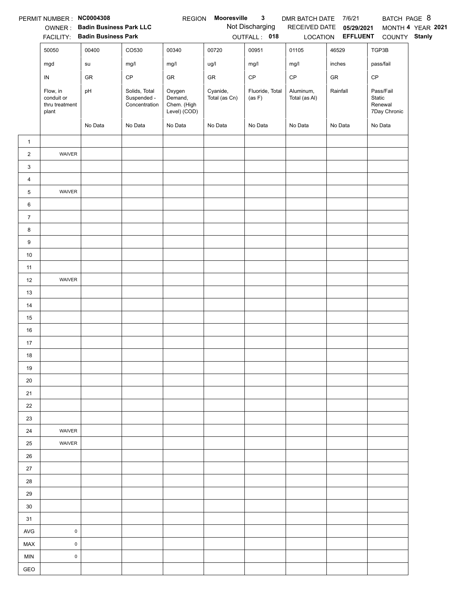|                | PERMIT NUMBER : NC0004308                         |                                        |                                               | <b>REGION</b>                                    | Mooresville               | $\mathbf{3}$              | DMR BATCH DATE             | 7/6/21                     | BATCH PAGE 8                                   |                   |
|----------------|---------------------------------------------------|----------------------------------------|-----------------------------------------------|--------------------------------------------------|---------------------------|---------------------------|----------------------------|----------------------------|------------------------------------------------|-------------------|
|                |                                                   | OWNER: Badin Business Park LLC         |                                               |                                                  |                           | Not Discharging           | RECEIVED DATE              | 05/29/2021                 |                                                | MONTH 4 YEAR 2021 |
|                | 50050                                             | FACILITY: Badin Business Park<br>00400 | CO530                                         | 00340                                            | 00720                     | OUTFALL: 018<br>00951     | 01105                      | LOCATION EFFLUENT<br>46529 | COUNTY Stanly<br>TGP3B                         |                   |
|                |                                                   |                                        |                                               |                                                  |                           |                           |                            |                            |                                                |                   |
|                | mgd                                               | su                                     | mg/l                                          | mg/l                                             | ug/l                      | mg/l                      | mg/l                       | inches                     | pass/fail                                      |                   |
|                | ${\sf IN}$                                        | GR                                     | CP                                            | GR                                               | ${\sf GR}$                | $\mathsf{CP}$             | $\mathsf{CP}$              | ${\sf GR}$                 | CP                                             |                   |
|                | Flow, in<br>conduit or<br>thru treatment<br>plant | pH                                     | Solids, Total<br>Suspended -<br>Concentration | Oxygen<br>Demand,<br>Chem. (High<br>Level) (COD) | Cyanide,<br>Total (as Cn) | Fluoride, Total<br>(as F) | Aluminum,<br>Total (as Al) | Rainfall                   | Pass/Fail<br>Static<br>Renewal<br>7Day Chronic |                   |
|                |                                                   | No Data                                | No Data                                       | No Data                                          | No Data                   | No Data                   | No Data                    | No Data                    | No Data                                        |                   |
| $\mathbf{1}$   |                                                   |                                        |                                               |                                                  |                           |                           |                            |                            |                                                |                   |
| $\overline{2}$ | WAIVER                                            |                                        |                                               |                                                  |                           |                           |                            |                            |                                                |                   |
| 3              |                                                   |                                        |                                               |                                                  |                           |                           |                            |                            |                                                |                   |
| 4              |                                                   |                                        |                                               |                                                  |                           |                           |                            |                            |                                                |                   |
| 5              | WAIVER                                            |                                        |                                               |                                                  |                           |                           |                            |                            |                                                |                   |
| 6              |                                                   |                                        |                                               |                                                  |                           |                           |                            |                            |                                                |                   |
| $\overline{7}$ |                                                   |                                        |                                               |                                                  |                           |                           |                            |                            |                                                |                   |
| 8              |                                                   |                                        |                                               |                                                  |                           |                           |                            |                            |                                                |                   |
| 9              |                                                   |                                        |                                               |                                                  |                           |                           |                            |                            |                                                |                   |
| $10\,$         |                                                   |                                        |                                               |                                                  |                           |                           |                            |                            |                                                |                   |
| 11             |                                                   |                                        |                                               |                                                  |                           |                           |                            |                            |                                                |                   |
| 12             | WAIVER                                            |                                        |                                               |                                                  |                           |                           |                            |                            |                                                |                   |
| 13             |                                                   |                                        |                                               |                                                  |                           |                           |                            |                            |                                                |                   |
| 14             |                                                   |                                        |                                               |                                                  |                           |                           |                            |                            |                                                |                   |
| 15             |                                                   |                                        |                                               |                                                  |                           |                           |                            |                            |                                                |                   |
| 16             |                                                   |                                        |                                               |                                                  |                           |                           |                            |                            |                                                |                   |
| 17             |                                                   |                                        |                                               |                                                  |                           |                           |                            |                            |                                                |                   |
| 18             |                                                   |                                        |                                               |                                                  |                           |                           |                            |                            |                                                |                   |
| 19             |                                                   |                                        |                                               |                                                  |                           |                           |                            |                            |                                                |                   |
| 20             |                                                   |                                        |                                               |                                                  |                           |                           |                            |                            |                                                |                   |
| 21             |                                                   |                                        |                                               |                                                  |                           |                           |                            |                            |                                                |                   |
| 22             |                                                   |                                        |                                               |                                                  |                           |                           |                            |                            |                                                |                   |
| 23             |                                                   |                                        |                                               |                                                  |                           |                           |                            |                            |                                                |                   |
| 24             | WAIVER                                            |                                        |                                               |                                                  |                           |                           |                            |                            |                                                |                   |
| 25             | WAIVER                                            |                                        |                                               |                                                  |                           |                           |                            |                            |                                                |                   |
| 26             |                                                   |                                        |                                               |                                                  |                           |                           |                            |                            |                                                |                   |
| 27             |                                                   |                                        |                                               |                                                  |                           |                           |                            |                            |                                                |                   |
| 28             |                                                   |                                        |                                               |                                                  |                           |                           |                            |                            |                                                |                   |
| 29             |                                                   |                                        |                                               |                                                  |                           |                           |                            |                            |                                                |                   |
| 30             |                                                   |                                        |                                               |                                                  |                           |                           |                            |                            |                                                |                   |
| 31             |                                                   |                                        |                                               |                                                  |                           |                           |                            |                            |                                                |                   |
| <b>AVG</b>     | $\pmb{0}$                                         |                                        |                                               |                                                  |                           |                           |                            |                            |                                                |                   |
| MAX            | $\mathsf 0$                                       |                                        |                                               |                                                  |                           |                           |                            |                            |                                                |                   |
| <b>MIN</b>     | $\mathsf{O}\xspace$                               |                                        |                                               |                                                  |                           |                           |                            |                            |                                                |                   |
| GEO            |                                                   |                                        |                                               |                                                  |                           |                           |                            |                            |                                                |                   |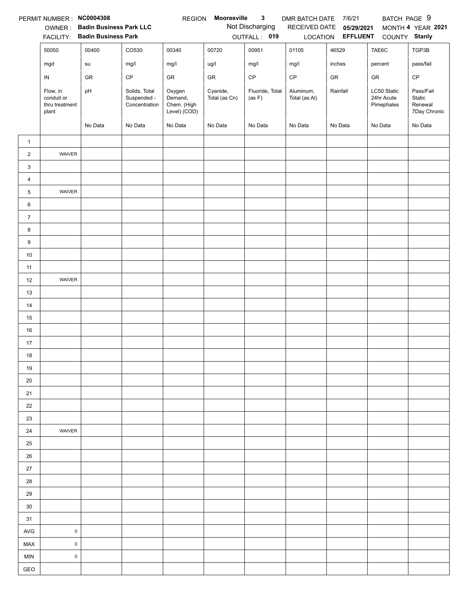|                | PERMIT NUMBER: NC0004308                          |                                |                                               | <b>REGION</b>                                    | Mooresville               | 3                         | DMR BATCH DATE 7/6/21      |                          | BATCH PAGE 9                            |                                                |
|----------------|---------------------------------------------------|--------------------------------|-----------------------------------------------|--------------------------------------------------|---------------------------|---------------------------|----------------------------|--------------------------|-----------------------------------------|------------------------------------------------|
|                | OWNER:                                            | <b>Badin Business Park LLC</b> |                                               |                                                  |                           | Not Discharging           | RECEIVED DATE              | 05/29/2021               |                                         | MONTH 4 YEAR 2021                              |
|                | <b>FACILITY:</b>                                  | <b>Badin Business Park</b>     |                                               |                                                  |                           | OUTFALL: 019              |                            | LOCATION <b>EFFLUENT</b> | COUNTY Stanly                           |                                                |
|                | 50050                                             | 00400                          | CO530                                         | 00340                                            | 00720                     | 00951                     | 01105                      | 46529                    | TAE6C                                   | TGP3B                                          |
|                | mgd                                               | su                             | mg/l                                          | mg/l                                             | ug/l                      | mg/l                      | mg/l                       | inches                   | percent                                 | pass/fail                                      |
|                | IN                                                | GR                             | CP                                            | GR                                               | GR                        | CP                        | CP                         | GR                       | GR                                      | $\mathsf{CP}$                                  |
|                | Flow, in<br>conduit or<br>thru treatment<br>plant | pH                             | Solids, Total<br>Suspended -<br>Concentration | Oxygen<br>Demand,<br>Chem. (High<br>Level) (COD) | Cyanide,<br>Total (as Cn) | Fluoride, Total<br>(as F) | Aluminum,<br>Total (as Al) | Rainfall                 | LC50 Static<br>24hr Acute<br>Pimephales | Pass/Fail<br>Static<br>Renewal<br>7Day Chronic |
|                |                                                   | No Data                        | No Data                                       | No Data                                          | No Data                   | No Data                   | No Data                    | No Data                  | No Data                                 | No Data                                        |
| $\mathbf{1}$   |                                                   |                                |                                               |                                                  |                           |                           |                            |                          |                                         |                                                |
| $\overline{2}$ | WAIVER                                            |                                |                                               |                                                  |                           |                           |                            |                          |                                         |                                                |
| 3              |                                                   |                                |                                               |                                                  |                           |                           |                            |                          |                                         |                                                |
| 4              |                                                   |                                |                                               |                                                  |                           |                           |                            |                          |                                         |                                                |
| 5              | WAIVER                                            |                                |                                               |                                                  |                           |                           |                            |                          |                                         |                                                |
| 6              |                                                   |                                |                                               |                                                  |                           |                           |                            |                          |                                         |                                                |
| $\overline{7}$ |                                                   |                                |                                               |                                                  |                           |                           |                            |                          |                                         |                                                |
| 8              |                                                   |                                |                                               |                                                  |                           |                           |                            |                          |                                         |                                                |
| 9              |                                                   |                                |                                               |                                                  |                           |                           |                            |                          |                                         |                                                |
| 10             |                                                   |                                |                                               |                                                  |                           |                           |                            |                          |                                         |                                                |
| 11             |                                                   |                                |                                               |                                                  |                           |                           |                            |                          |                                         |                                                |
| 12             | WAIVER                                            |                                |                                               |                                                  |                           |                           |                            |                          |                                         |                                                |
| 13             |                                                   |                                |                                               |                                                  |                           |                           |                            |                          |                                         |                                                |
| 14             |                                                   |                                |                                               |                                                  |                           |                           |                            |                          |                                         |                                                |
| 15             |                                                   |                                |                                               |                                                  |                           |                           |                            |                          |                                         |                                                |
| 16             |                                                   |                                |                                               |                                                  |                           |                           |                            |                          |                                         |                                                |
| 17             |                                                   |                                |                                               |                                                  |                           |                           |                            |                          |                                         |                                                |
| 18             |                                                   |                                |                                               |                                                  |                           |                           |                            |                          |                                         |                                                |
| 19             |                                                   |                                |                                               |                                                  |                           |                           |                            |                          |                                         |                                                |
| 20             |                                                   |                                |                                               |                                                  |                           |                           |                            |                          |                                         |                                                |
| 21             |                                                   |                                |                                               |                                                  |                           |                           |                            |                          |                                         |                                                |
| 22             |                                                   |                                |                                               |                                                  |                           |                           |                            |                          |                                         |                                                |
| 23             |                                                   |                                |                                               |                                                  |                           |                           |                            |                          |                                         |                                                |
| 24             | <b>WAIVER</b>                                     |                                |                                               |                                                  |                           |                           |                            |                          |                                         |                                                |
| 25             |                                                   |                                |                                               |                                                  |                           |                           |                            |                          |                                         |                                                |
| 26             |                                                   |                                |                                               |                                                  |                           |                           |                            |                          |                                         |                                                |
| 27             |                                                   |                                |                                               |                                                  |                           |                           |                            |                          |                                         |                                                |
| 28             |                                                   |                                |                                               |                                                  |                           |                           |                            |                          |                                         |                                                |
| 29             |                                                   |                                |                                               |                                                  |                           |                           |                            |                          |                                         |                                                |
| 30             |                                                   |                                |                                               |                                                  |                           |                           |                            |                          |                                         |                                                |
| 31             |                                                   |                                |                                               |                                                  |                           |                           |                            |                          |                                         |                                                |
| <b>AVG</b>     | $\pmb{0}$                                         |                                |                                               |                                                  |                           |                           |                            |                          |                                         |                                                |
| MAX            | $\mathsf 0$                                       |                                |                                               |                                                  |                           |                           |                            |                          |                                         |                                                |
| <b>MIN</b>     | $\pmb{0}$                                         |                                |                                               |                                                  |                           |                           |                            |                          |                                         |                                                |
| GEO            |                                                   |                                |                                               |                                                  |                           |                           |                            |                          |                                         |                                                |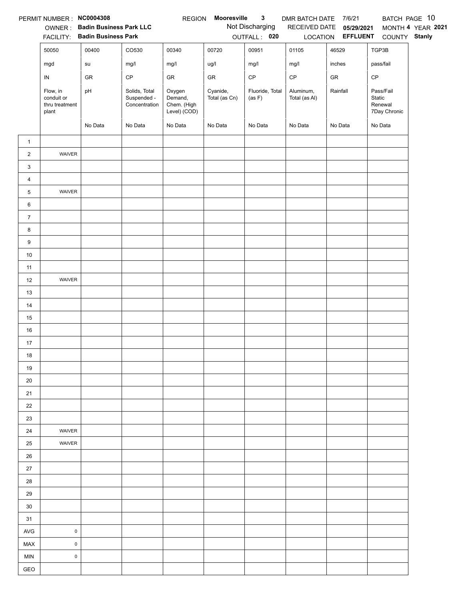| Not Discharging<br>OWNER: Badin Business Park LLC<br>RECEIVED DATE 05/29/2021<br>MONTH 4 YEAR 2021<br>FACILITY: Badin Business Park<br>LOCATION <b>EFFLUENT</b><br>OUTFALL: 020<br>COUNTY Stanly<br>00400<br>CO530<br>00340<br>00951<br>46529<br>TGP3B<br>50050<br>00720<br>01105<br>inches<br>mg/l<br>ug/l<br>mg/l<br>mg/l<br>pass/fail<br>mgd<br>su<br>mg/l<br>CP<br>$\mathsf{CP}$<br>$\mathsf{CP}$<br>CP<br>GR<br>GR<br>GR<br>GR<br>${\sf IN}$<br>Cyanide,<br>Solids, Total<br>Oxygen<br>Fluoride, Total<br>Aluminum,<br>Rainfall<br>Pass/Fail<br>Flow, in<br>pH<br>conduit or<br>Suspended -<br>Demand,<br>Total (as Cn)<br>Total (as Al)<br>Static<br>(as F)<br>Chem. (High<br>Renewal<br>thru treatment<br>Concentration<br>Level) (COD)<br>7Day Chronic<br>plant<br>No Data<br>No Data<br>No Data<br>No Data<br>No Data<br>No Data<br>No Data<br>No Data<br>$\mathbf{1}$<br>$\overline{2}$<br>WAIVER<br>3<br>$\overline{4}$<br>5<br>WAIVER<br>6<br>$\overline{7}$<br>8<br>9<br>$10\,$<br>11<br>WAIVER<br>12<br>13<br>14<br>15<br>16<br>17<br>18<br>19<br>20<br>21<br>22<br>23<br>24<br>WAIVER<br>25<br>WAIVER<br>26<br>27<br>28<br>29<br>30<br>31<br>$\pmb{0}$<br><b>AVG</b><br>MAX<br>$\mathsf{O}\xspace$<br>$\pmb{0}$<br><b>MIN</b><br>GEO | PERMIT NUMBER : NC0004308 |  | <b>REGION</b> | Mooresville | $\mathbf{3}$ | DMR BATCH DATE 7/6/21 |  | BATCH PAGE 10 |
|-----------------------------------------------------------------------------------------------------------------------------------------------------------------------------------------------------------------------------------------------------------------------------------------------------------------------------------------------------------------------------------------------------------------------------------------------------------------------------------------------------------------------------------------------------------------------------------------------------------------------------------------------------------------------------------------------------------------------------------------------------------------------------------------------------------------------------------------------------------------------------------------------------------------------------------------------------------------------------------------------------------------------------------------------------------------------------------------------------------------------------------------------------------------------------------------------------------------------------------------------------|---------------------------|--|---------------|-------------|--------------|-----------------------|--|---------------|
|                                                                                                                                                                                                                                                                                                                                                                                                                                                                                                                                                                                                                                                                                                                                                                                                                                                                                                                                                                                                                                                                                                                                                                                                                                                     |                           |  |               |             |              |                       |  |               |
|                                                                                                                                                                                                                                                                                                                                                                                                                                                                                                                                                                                                                                                                                                                                                                                                                                                                                                                                                                                                                                                                                                                                                                                                                                                     |                           |  |               |             |              |                       |  |               |
|                                                                                                                                                                                                                                                                                                                                                                                                                                                                                                                                                                                                                                                                                                                                                                                                                                                                                                                                                                                                                                                                                                                                                                                                                                                     |                           |  |               |             |              |                       |  |               |
|                                                                                                                                                                                                                                                                                                                                                                                                                                                                                                                                                                                                                                                                                                                                                                                                                                                                                                                                                                                                                                                                                                                                                                                                                                                     |                           |  |               |             |              |                       |  |               |
|                                                                                                                                                                                                                                                                                                                                                                                                                                                                                                                                                                                                                                                                                                                                                                                                                                                                                                                                                                                                                                                                                                                                                                                                                                                     |                           |  |               |             |              |                       |  |               |
|                                                                                                                                                                                                                                                                                                                                                                                                                                                                                                                                                                                                                                                                                                                                                                                                                                                                                                                                                                                                                                                                                                                                                                                                                                                     |                           |  |               |             |              |                       |  |               |
|                                                                                                                                                                                                                                                                                                                                                                                                                                                                                                                                                                                                                                                                                                                                                                                                                                                                                                                                                                                                                                                                                                                                                                                                                                                     |                           |  |               |             |              |                       |  |               |
|                                                                                                                                                                                                                                                                                                                                                                                                                                                                                                                                                                                                                                                                                                                                                                                                                                                                                                                                                                                                                                                                                                                                                                                                                                                     |                           |  |               |             |              |                       |  |               |
|                                                                                                                                                                                                                                                                                                                                                                                                                                                                                                                                                                                                                                                                                                                                                                                                                                                                                                                                                                                                                                                                                                                                                                                                                                                     |                           |  |               |             |              |                       |  |               |
|                                                                                                                                                                                                                                                                                                                                                                                                                                                                                                                                                                                                                                                                                                                                                                                                                                                                                                                                                                                                                                                                                                                                                                                                                                                     |                           |  |               |             |              |                       |  |               |
|                                                                                                                                                                                                                                                                                                                                                                                                                                                                                                                                                                                                                                                                                                                                                                                                                                                                                                                                                                                                                                                                                                                                                                                                                                                     |                           |  |               |             |              |                       |  |               |
|                                                                                                                                                                                                                                                                                                                                                                                                                                                                                                                                                                                                                                                                                                                                                                                                                                                                                                                                                                                                                                                                                                                                                                                                                                                     |                           |  |               |             |              |                       |  |               |
|                                                                                                                                                                                                                                                                                                                                                                                                                                                                                                                                                                                                                                                                                                                                                                                                                                                                                                                                                                                                                                                                                                                                                                                                                                                     |                           |  |               |             |              |                       |  |               |
|                                                                                                                                                                                                                                                                                                                                                                                                                                                                                                                                                                                                                                                                                                                                                                                                                                                                                                                                                                                                                                                                                                                                                                                                                                                     |                           |  |               |             |              |                       |  |               |
|                                                                                                                                                                                                                                                                                                                                                                                                                                                                                                                                                                                                                                                                                                                                                                                                                                                                                                                                                                                                                                                                                                                                                                                                                                                     |                           |  |               |             |              |                       |  |               |
|                                                                                                                                                                                                                                                                                                                                                                                                                                                                                                                                                                                                                                                                                                                                                                                                                                                                                                                                                                                                                                                                                                                                                                                                                                                     |                           |  |               |             |              |                       |  |               |
|                                                                                                                                                                                                                                                                                                                                                                                                                                                                                                                                                                                                                                                                                                                                                                                                                                                                                                                                                                                                                                                                                                                                                                                                                                                     |                           |  |               |             |              |                       |  |               |
|                                                                                                                                                                                                                                                                                                                                                                                                                                                                                                                                                                                                                                                                                                                                                                                                                                                                                                                                                                                                                                                                                                                                                                                                                                                     |                           |  |               |             |              |                       |  |               |
|                                                                                                                                                                                                                                                                                                                                                                                                                                                                                                                                                                                                                                                                                                                                                                                                                                                                                                                                                                                                                                                                                                                                                                                                                                                     |                           |  |               |             |              |                       |  |               |
|                                                                                                                                                                                                                                                                                                                                                                                                                                                                                                                                                                                                                                                                                                                                                                                                                                                                                                                                                                                                                                                                                                                                                                                                                                                     |                           |  |               |             |              |                       |  |               |
|                                                                                                                                                                                                                                                                                                                                                                                                                                                                                                                                                                                                                                                                                                                                                                                                                                                                                                                                                                                                                                                                                                                                                                                                                                                     |                           |  |               |             |              |                       |  |               |
|                                                                                                                                                                                                                                                                                                                                                                                                                                                                                                                                                                                                                                                                                                                                                                                                                                                                                                                                                                                                                                                                                                                                                                                                                                                     |                           |  |               |             |              |                       |  |               |
|                                                                                                                                                                                                                                                                                                                                                                                                                                                                                                                                                                                                                                                                                                                                                                                                                                                                                                                                                                                                                                                                                                                                                                                                                                                     |                           |  |               |             |              |                       |  |               |
|                                                                                                                                                                                                                                                                                                                                                                                                                                                                                                                                                                                                                                                                                                                                                                                                                                                                                                                                                                                                                                                                                                                                                                                                                                                     |                           |  |               |             |              |                       |  |               |
|                                                                                                                                                                                                                                                                                                                                                                                                                                                                                                                                                                                                                                                                                                                                                                                                                                                                                                                                                                                                                                                                                                                                                                                                                                                     |                           |  |               |             |              |                       |  |               |
|                                                                                                                                                                                                                                                                                                                                                                                                                                                                                                                                                                                                                                                                                                                                                                                                                                                                                                                                                                                                                                                                                                                                                                                                                                                     |                           |  |               |             |              |                       |  |               |
|                                                                                                                                                                                                                                                                                                                                                                                                                                                                                                                                                                                                                                                                                                                                                                                                                                                                                                                                                                                                                                                                                                                                                                                                                                                     |                           |  |               |             |              |                       |  |               |
|                                                                                                                                                                                                                                                                                                                                                                                                                                                                                                                                                                                                                                                                                                                                                                                                                                                                                                                                                                                                                                                                                                                                                                                                                                                     |                           |  |               |             |              |                       |  |               |
|                                                                                                                                                                                                                                                                                                                                                                                                                                                                                                                                                                                                                                                                                                                                                                                                                                                                                                                                                                                                                                                                                                                                                                                                                                                     |                           |  |               |             |              |                       |  |               |
|                                                                                                                                                                                                                                                                                                                                                                                                                                                                                                                                                                                                                                                                                                                                                                                                                                                                                                                                                                                                                                                                                                                                                                                                                                                     |                           |  |               |             |              |                       |  |               |
|                                                                                                                                                                                                                                                                                                                                                                                                                                                                                                                                                                                                                                                                                                                                                                                                                                                                                                                                                                                                                                                                                                                                                                                                                                                     |                           |  |               |             |              |                       |  |               |
|                                                                                                                                                                                                                                                                                                                                                                                                                                                                                                                                                                                                                                                                                                                                                                                                                                                                                                                                                                                                                                                                                                                                                                                                                                                     |                           |  |               |             |              |                       |  |               |
|                                                                                                                                                                                                                                                                                                                                                                                                                                                                                                                                                                                                                                                                                                                                                                                                                                                                                                                                                                                                                                                                                                                                                                                                                                                     |                           |  |               |             |              |                       |  |               |
|                                                                                                                                                                                                                                                                                                                                                                                                                                                                                                                                                                                                                                                                                                                                                                                                                                                                                                                                                                                                                                                                                                                                                                                                                                                     |                           |  |               |             |              |                       |  |               |
|                                                                                                                                                                                                                                                                                                                                                                                                                                                                                                                                                                                                                                                                                                                                                                                                                                                                                                                                                                                                                                                                                                                                                                                                                                                     |                           |  |               |             |              |                       |  |               |
|                                                                                                                                                                                                                                                                                                                                                                                                                                                                                                                                                                                                                                                                                                                                                                                                                                                                                                                                                                                                                                                                                                                                                                                                                                                     |                           |  |               |             |              |                       |  |               |
|                                                                                                                                                                                                                                                                                                                                                                                                                                                                                                                                                                                                                                                                                                                                                                                                                                                                                                                                                                                                                                                                                                                                                                                                                                                     |                           |  |               |             |              |                       |  |               |
|                                                                                                                                                                                                                                                                                                                                                                                                                                                                                                                                                                                                                                                                                                                                                                                                                                                                                                                                                                                                                                                                                                                                                                                                                                                     |                           |  |               |             |              |                       |  |               |
|                                                                                                                                                                                                                                                                                                                                                                                                                                                                                                                                                                                                                                                                                                                                                                                                                                                                                                                                                                                                                                                                                                                                                                                                                                                     |                           |  |               |             |              |                       |  |               |
|                                                                                                                                                                                                                                                                                                                                                                                                                                                                                                                                                                                                                                                                                                                                                                                                                                                                                                                                                                                                                                                                                                                                                                                                                                                     |                           |  |               |             |              |                       |  |               |
|                                                                                                                                                                                                                                                                                                                                                                                                                                                                                                                                                                                                                                                                                                                                                                                                                                                                                                                                                                                                                                                                                                                                                                                                                                                     |                           |  |               |             |              |                       |  |               |
|                                                                                                                                                                                                                                                                                                                                                                                                                                                                                                                                                                                                                                                                                                                                                                                                                                                                                                                                                                                                                                                                                                                                                                                                                                                     |                           |  |               |             |              |                       |  |               |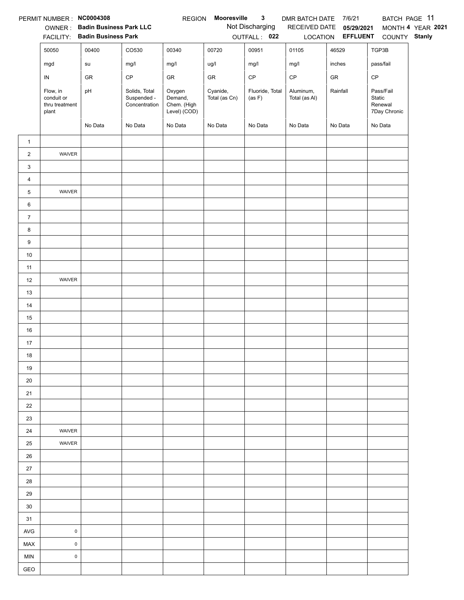|                | PERMIT NUMBER : NC0004308                         |                                                                 |                                               | <b>REGION</b>                                    | Mooresville               | $\mathbf{3}$                    | DMR BATCH DATE 7/6/21      |                                                      | BATCH PAGE 11                                  |                   |
|----------------|---------------------------------------------------|-----------------------------------------------------------------|-----------------------------------------------|--------------------------------------------------|---------------------------|---------------------------------|----------------------------|------------------------------------------------------|------------------------------------------------|-------------------|
|                |                                                   | OWNER: Badin Business Park LLC<br>FACILITY: Badin Business Park |                                               |                                                  |                           | Not Discharging<br>OUTFALL: 022 |                            | RECEIVED DATE 05/29/2021<br>LOCATION <b>EFFLUENT</b> | COUNTY Stanly                                  | MONTH 4 YEAR 2021 |
|                | 50050                                             | 00400                                                           | CO530                                         | 00340                                            | 00720                     | 00951                           | 01105                      | 46529                                                | TGP3B                                          |                   |
|                | mgd                                               | su                                                              | mg/l                                          | mg/l                                             | ug/l                      | mg/l                            | mg/l                       | inches                                               | pass/fail                                      |                   |
|                | ${\sf IN}$                                        | GR                                                              | CP                                            | GR                                               | GR                        | $\mathsf{CP}$                   | $\mathsf{CP}$              | GR                                                   | CP                                             |                   |
|                | Flow, in<br>conduit or<br>thru treatment<br>plant | pH                                                              | Solids, Total<br>Suspended -<br>Concentration | Oxygen<br>Demand,<br>Chem. (High<br>Level) (COD) | Cyanide,<br>Total (as Cn) | Fluoride, Total<br>(as F)       | Aluminum,<br>Total (as Al) | Rainfall                                             | Pass/Fail<br>Static<br>Renewal<br>7Day Chronic |                   |
|                |                                                   | No Data                                                         | No Data                                       | No Data                                          | No Data                   | No Data                         | No Data                    | No Data                                              | No Data                                        |                   |
| $\mathbf{1}$   |                                                   |                                                                 |                                               |                                                  |                           |                                 |                            |                                                      |                                                |                   |
| $\overline{2}$ | WAIVER                                            |                                                                 |                                               |                                                  |                           |                                 |                            |                                                      |                                                |                   |
| 3              |                                                   |                                                                 |                                               |                                                  |                           |                                 |                            |                                                      |                                                |                   |
| $\overline{4}$ |                                                   |                                                                 |                                               |                                                  |                           |                                 |                            |                                                      |                                                |                   |
| 5              | WAIVER                                            |                                                                 |                                               |                                                  |                           |                                 |                            |                                                      |                                                |                   |
| 6              |                                                   |                                                                 |                                               |                                                  |                           |                                 |                            |                                                      |                                                |                   |
| $\overline{7}$ |                                                   |                                                                 |                                               |                                                  |                           |                                 |                            |                                                      |                                                |                   |
| 8              |                                                   |                                                                 |                                               |                                                  |                           |                                 |                            |                                                      |                                                |                   |
| 9              |                                                   |                                                                 |                                               |                                                  |                           |                                 |                            |                                                      |                                                |                   |
| $10\,$         |                                                   |                                                                 |                                               |                                                  |                           |                                 |                            |                                                      |                                                |                   |
| 11             |                                                   |                                                                 |                                               |                                                  |                           |                                 |                            |                                                      |                                                |                   |
| 12             | WAIVER                                            |                                                                 |                                               |                                                  |                           |                                 |                            |                                                      |                                                |                   |
| 13             |                                                   |                                                                 |                                               |                                                  |                           |                                 |                            |                                                      |                                                |                   |
| 14             |                                                   |                                                                 |                                               |                                                  |                           |                                 |                            |                                                      |                                                |                   |
| 15             |                                                   |                                                                 |                                               |                                                  |                           |                                 |                            |                                                      |                                                |                   |
| 16             |                                                   |                                                                 |                                               |                                                  |                           |                                 |                            |                                                      |                                                |                   |
| 17             |                                                   |                                                                 |                                               |                                                  |                           |                                 |                            |                                                      |                                                |                   |
| 18             |                                                   |                                                                 |                                               |                                                  |                           |                                 |                            |                                                      |                                                |                   |
| 19<br>20       |                                                   |                                                                 |                                               |                                                  |                           |                                 |                            |                                                      |                                                |                   |
| 21             |                                                   |                                                                 |                                               |                                                  |                           |                                 |                            |                                                      |                                                |                   |
| 22             |                                                   |                                                                 |                                               |                                                  |                           |                                 |                            |                                                      |                                                |                   |
| 23             |                                                   |                                                                 |                                               |                                                  |                           |                                 |                            |                                                      |                                                |                   |
| 24             | WAIVER                                            |                                                                 |                                               |                                                  |                           |                                 |                            |                                                      |                                                |                   |
| 25             | WAIVER                                            |                                                                 |                                               |                                                  |                           |                                 |                            |                                                      |                                                |                   |
| 26             |                                                   |                                                                 |                                               |                                                  |                           |                                 |                            |                                                      |                                                |                   |
| 27             |                                                   |                                                                 |                                               |                                                  |                           |                                 |                            |                                                      |                                                |                   |
| 28             |                                                   |                                                                 |                                               |                                                  |                           |                                 |                            |                                                      |                                                |                   |
| 29             |                                                   |                                                                 |                                               |                                                  |                           |                                 |                            |                                                      |                                                |                   |
| 30             |                                                   |                                                                 |                                               |                                                  |                           |                                 |                            |                                                      |                                                |                   |
| 31             |                                                   |                                                                 |                                               |                                                  |                           |                                 |                            |                                                      |                                                |                   |
| <b>AVG</b>     | $\pmb{0}$                                         |                                                                 |                                               |                                                  |                           |                                 |                            |                                                      |                                                |                   |
| MAX            | $\mathsf{O}\xspace$                               |                                                                 |                                               |                                                  |                           |                                 |                            |                                                      |                                                |                   |
| <b>MIN</b>     | $\pmb{0}$                                         |                                                                 |                                               |                                                  |                           |                                 |                            |                                                      |                                                |                   |
| GEO            |                                                   |                                                                 |                                               |                                                  |                           |                                 |                            |                                                      |                                                |                   |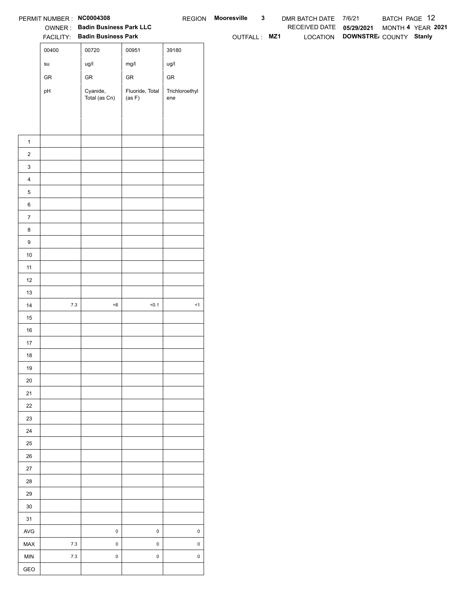|                  | PERMIT NUMBER : NC0004308             |                                                                 |                           |                       | REGION Mooresville | $\mathbf{3}$ | DMR BATCH DATE 7/6/21    |                                 | BATCH PAGE 12     |  |
|------------------|---------------------------------------|-----------------------------------------------------------------|---------------------------|-----------------------|--------------------|--------------|--------------------------|---------------------------------|-------------------|--|
|                  |                                       | OWNER: Badin Business Park LLC<br>FACILITY: Badin Business Park |                           |                       |                    |              | RECEIVED DATE 05/29/2021 |                                 | MONTH 4 YEAR 2021 |  |
|                  |                                       |                                                                 |                           |                       | OUTFALL: MZ1       |              |                          | LOCATION DOWNSTRE COUNTY Stanly |                   |  |
|                  | 00400                                 | 00720                                                           | 00951                     | 39180                 |                    |              |                          |                                 |                   |  |
|                  | $\operatorname{\mathsf{su}}\nolimits$ | ug/l                                                            | mg/l                      | ug/l                  |                    |              |                          |                                 |                   |  |
|                  | ${\sf GR}$                            | ${\sf GR}$                                                      | ${\sf GR}$                | ${\sf GR}$            |                    |              |                          |                                 |                   |  |
|                  | pH                                    | Cyanide,<br>Total (as Cn)                                       | Fluoride, Total<br>(as F) | Trichloroethyl<br>ene |                    |              |                          |                                 |                   |  |
|                  |                                       |                                                                 |                           |                       |                    |              |                          |                                 |                   |  |
|                  |                                       |                                                                 |                           |                       |                    |              |                          |                                 |                   |  |
|                  |                                       |                                                                 |                           |                       |                    |              |                          |                                 |                   |  |
| $\mathbf{1}$     |                                       |                                                                 |                           |                       |                    |              |                          |                                 |                   |  |
| $\overline{2}$   |                                       |                                                                 |                           |                       |                    |              |                          |                                 |                   |  |
| $\mathbf{3}$     |                                       |                                                                 |                           |                       |                    |              |                          |                                 |                   |  |
| $\overline{4}$   |                                       |                                                                 |                           |                       |                    |              |                          |                                 |                   |  |
| $\,$ 5 $\,$      |                                       |                                                                 |                           |                       |                    |              |                          |                                 |                   |  |
| $\,6$            |                                       |                                                                 |                           |                       |                    |              |                          |                                 |                   |  |
| $\overline{7}$   |                                       |                                                                 |                           |                       |                    |              |                          |                                 |                   |  |
| 8                |                                       |                                                                 |                           |                       |                    |              |                          |                                 |                   |  |
| $\boldsymbol{9}$ |                                       |                                                                 |                           |                       |                    |              |                          |                                 |                   |  |
| 10               |                                       |                                                                 |                           |                       |                    |              |                          |                                 |                   |  |
| 11               |                                       |                                                                 |                           |                       |                    |              |                          |                                 |                   |  |
| 12               |                                       |                                                                 |                           |                       |                    |              |                          |                                 |                   |  |
| 13               |                                       |                                                                 |                           |                       |                    |              |                          |                                 |                   |  |
| 14               | $7.3$                                 | $<\!6$                                                          | 50.1                      | $\leq$ 1              |                    |              |                          |                                 |                   |  |
| 15<br>16         |                                       |                                                                 |                           |                       |                    |              |                          |                                 |                   |  |
| $17$             |                                       |                                                                 |                           |                       |                    |              |                          |                                 |                   |  |
| 18               |                                       |                                                                 |                           |                       |                    |              |                          |                                 |                   |  |
| 19               |                                       |                                                                 |                           |                       |                    |              |                          |                                 |                   |  |
| $20\,$           |                                       |                                                                 |                           |                       |                    |              |                          |                                 |                   |  |
| 21               |                                       |                                                                 |                           |                       |                    |              |                          |                                 |                   |  |
| $22\,$           |                                       |                                                                 |                           |                       |                    |              |                          |                                 |                   |  |
| 23               |                                       |                                                                 |                           |                       |                    |              |                          |                                 |                   |  |
| 24               |                                       |                                                                 |                           |                       |                    |              |                          |                                 |                   |  |
| $25\,$           |                                       |                                                                 |                           |                       |                    |              |                          |                                 |                   |  |
| 26               |                                       |                                                                 |                           |                       |                    |              |                          |                                 |                   |  |
| 27               |                                       |                                                                 |                           |                       |                    |              |                          |                                 |                   |  |
| 28               |                                       |                                                                 |                           |                       |                    |              |                          |                                 |                   |  |
| 29               |                                       |                                                                 |                           |                       |                    |              |                          |                                 |                   |  |
| $30\,$           |                                       |                                                                 |                           |                       |                    |              |                          |                                 |                   |  |
| 31               |                                       |                                                                 |                           |                       |                    |              |                          |                                 |                   |  |
| AVG              |                                       | $\mathbf 0$                                                     | $\mathbf 0$               | $\pmb{0}$             |                    |              |                          |                                 |                   |  |
| MAX              | $7.3$                                 | $\pmb{0}$                                                       | $\mathsf 0$               | $\mathsf 0$           |                    |              |                          |                                 |                   |  |
| MIN              | $7.3$                                 | $\mathbf 0$                                                     | $\mathsf 0$               | $\mathsf 0$           |                    |              |                          |                                 |                   |  |
| GEO              |                                       |                                                                 |                           |                       |                    |              |                          |                                 |                   |  |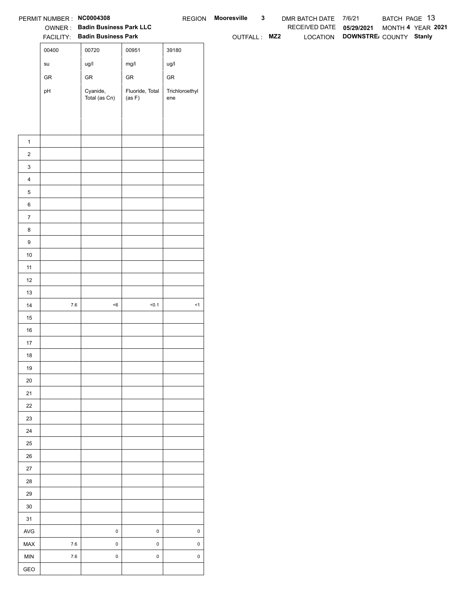|                  | PERMIT NUMBER : NC0004308             |                                                                 |                           |                       | REGION Mooresville | $\mathbf{3}$ | DMR BATCH DATE 7/6/21    |                                 | BATCH PAGE 13 |                   |
|------------------|---------------------------------------|-----------------------------------------------------------------|---------------------------|-----------------------|--------------------|--------------|--------------------------|---------------------------------|---------------|-------------------|
|                  |                                       | OWNER: Badin Business Park LLC<br>FACILITY: Badin Business Park |                           |                       |                    |              | RECEIVED DATE 05/29/2021 |                                 |               | MONTH 4 YEAR 2021 |
|                  |                                       |                                                                 |                           |                       | OUTFALL: MZ2       |              |                          | LOCATION DOWNSTRE COUNTY Stanly |               |                   |
|                  | 00400                                 | 00720                                                           | 00951                     | 39180                 |                    |              |                          |                                 |               |                   |
|                  | $\operatorname{\mathsf{su}}\nolimits$ | ug/l                                                            | mg/l                      | ug/l                  |                    |              |                          |                                 |               |                   |
|                  | ${\sf GR}$                            | ${\sf GR}$                                                      | ${\sf GR}$                | ${\sf GR}$            |                    |              |                          |                                 |               |                   |
|                  | pH                                    | Cyanide,<br>Total (as Cn)                                       | Fluoride, Total<br>(as F) | Trichloroethyl<br>ene |                    |              |                          |                                 |               |                   |
|                  |                                       |                                                                 |                           |                       |                    |              |                          |                                 |               |                   |
|                  |                                       |                                                                 |                           |                       |                    |              |                          |                                 |               |                   |
|                  |                                       |                                                                 |                           |                       |                    |              |                          |                                 |               |                   |
| $\mathbf{1}$     |                                       |                                                                 |                           |                       |                    |              |                          |                                 |               |                   |
| $\overline{2}$   |                                       |                                                                 |                           |                       |                    |              |                          |                                 |               |                   |
| $\mathbf{3}$     |                                       |                                                                 |                           |                       |                    |              |                          |                                 |               |                   |
| $\overline{4}$   |                                       |                                                                 |                           |                       |                    |              |                          |                                 |               |                   |
| $\,$ 5 $\,$      |                                       |                                                                 |                           |                       |                    |              |                          |                                 |               |                   |
| $\,6$            |                                       |                                                                 |                           |                       |                    |              |                          |                                 |               |                   |
| $\overline{7}$   |                                       |                                                                 |                           |                       |                    |              |                          |                                 |               |                   |
| 8                |                                       |                                                                 |                           |                       |                    |              |                          |                                 |               |                   |
| $\boldsymbol{9}$ |                                       |                                                                 |                           |                       |                    |              |                          |                                 |               |                   |
| 10               |                                       |                                                                 |                           |                       |                    |              |                          |                                 |               |                   |
| 11               |                                       |                                                                 |                           |                       |                    |              |                          |                                 |               |                   |
| 12               |                                       |                                                                 |                           |                       |                    |              |                          |                                 |               |                   |
| 13               |                                       |                                                                 |                           |                       |                    |              |                          |                                 |               |                   |
| 14               | $7.6\,$                               | $<\!6$                                                          | 50.1                      | $\leq$ 1              |                    |              |                          |                                 |               |                   |
| 15               |                                       |                                                                 |                           |                       |                    |              |                          |                                 |               |                   |
| 16               |                                       |                                                                 |                           |                       |                    |              |                          |                                 |               |                   |
| $17$             |                                       |                                                                 |                           |                       |                    |              |                          |                                 |               |                   |
| 18               |                                       |                                                                 |                           |                       |                    |              |                          |                                 |               |                   |
| 19               |                                       |                                                                 |                           |                       |                    |              |                          |                                 |               |                   |
| $20\,$           |                                       |                                                                 |                           |                       |                    |              |                          |                                 |               |                   |
| 21               |                                       |                                                                 |                           |                       |                    |              |                          |                                 |               |                   |
| $22\,$<br>23     |                                       |                                                                 |                           |                       |                    |              |                          |                                 |               |                   |
| 24               |                                       |                                                                 |                           |                       |                    |              |                          |                                 |               |                   |
| $25\,$           |                                       |                                                                 |                           |                       |                    |              |                          |                                 |               |                   |
| 26               |                                       |                                                                 |                           |                       |                    |              |                          |                                 |               |                   |
| 27               |                                       |                                                                 |                           |                       |                    |              |                          |                                 |               |                   |
| 28               |                                       |                                                                 |                           |                       |                    |              |                          |                                 |               |                   |
| 29               |                                       |                                                                 |                           |                       |                    |              |                          |                                 |               |                   |
| $30\,$           |                                       |                                                                 |                           |                       |                    |              |                          |                                 |               |                   |
| 31               |                                       |                                                                 |                           |                       |                    |              |                          |                                 |               |                   |
| AVG              |                                       | $\mathbf 0$                                                     | $\mathsf 0$               | $\pmb{0}$             |                    |              |                          |                                 |               |                   |
| MAX              | $7.6\,$                               | $\pmb{0}$                                                       | $\mathsf 0$               | $\mathsf 0$           |                    |              |                          |                                 |               |                   |
| MIN              |                                       |                                                                 |                           |                       |                    |              |                          |                                 |               |                   |
|                  | $7.6\,$                               | $\mathbf 0$                                                     | $\mathsf 0$               | $\mathsf 0$           |                    |              |                          |                                 |               |                   |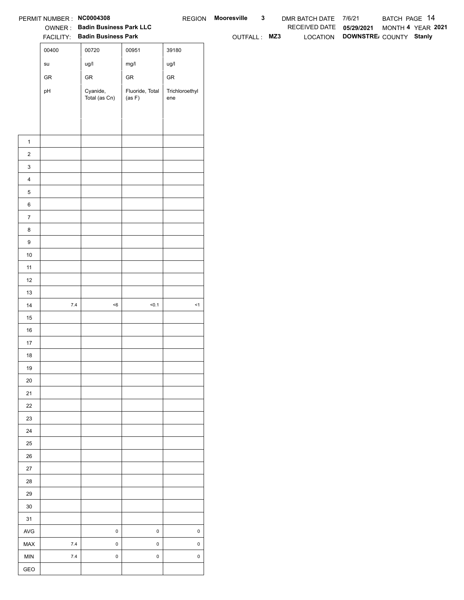|                  | PERMIT NUMBER : NC0004308             |                                                                 |                           |                       | REGION Mooresville | $\mathbf{3}$ | DMR BATCH DATE 7/6/21    |                                 | BATCH PAGE 14 |                   |
|------------------|---------------------------------------|-----------------------------------------------------------------|---------------------------|-----------------------|--------------------|--------------|--------------------------|---------------------------------|---------------|-------------------|
|                  |                                       | OWNER: Badin Business Park LLC<br>FACILITY: Badin Business Park |                           |                       |                    |              | RECEIVED DATE 05/29/2021 | LOCATION DOWNSTRE COUNTY Stanly |               | MONTH 4 YEAR 2021 |
|                  |                                       |                                                                 |                           |                       | OUTFALL: MZ3       |              |                          |                                 |               |                   |
|                  | 00400                                 | 00720                                                           | 00951                     | 39180                 |                    |              |                          |                                 |               |                   |
|                  | $\operatorname{\mathsf{su}}\nolimits$ | ug/l                                                            | mg/l                      | ug/l                  |                    |              |                          |                                 |               |                   |
|                  | ${\sf GR}$                            | ${\sf GR}$                                                      | ${\sf GR}$                | ${\sf GR}$            |                    |              |                          |                                 |               |                   |
|                  | pH                                    | Cyanide,<br>Total (as Cn)                                       | Fluoride, Total<br>(as F) | Trichloroethyl<br>ene |                    |              |                          |                                 |               |                   |
|                  |                                       |                                                                 |                           |                       |                    |              |                          |                                 |               |                   |
|                  |                                       |                                                                 |                           |                       |                    |              |                          |                                 |               |                   |
|                  |                                       |                                                                 |                           |                       |                    |              |                          |                                 |               |                   |
| $\mathbf{1}$     |                                       |                                                                 |                           |                       |                    |              |                          |                                 |               |                   |
| $\overline{2}$   |                                       |                                                                 |                           |                       |                    |              |                          |                                 |               |                   |
| $\mathbf{3}$     |                                       |                                                                 |                           |                       |                    |              |                          |                                 |               |                   |
| $\overline{4}$   |                                       |                                                                 |                           |                       |                    |              |                          |                                 |               |                   |
| $\,$ 5 $\,$      |                                       |                                                                 |                           |                       |                    |              |                          |                                 |               |                   |
| $\,6$            |                                       |                                                                 |                           |                       |                    |              |                          |                                 |               |                   |
| $\overline{7}$   |                                       |                                                                 |                           |                       |                    |              |                          |                                 |               |                   |
| 8                |                                       |                                                                 |                           |                       |                    |              |                          |                                 |               |                   |
| $\boldsymbol{9}$ |                                       |                                                                 |                           |                       |                    |              |                          |                                 |               |                   |
| 10               |                                       |                                                                 |                           |                       |                    |              |                          |                                 |               |                   |
| 11               |                                       |                                                                 |                           |                       |                    |              |                          |                                 |               |                   |
| 12<br>13         |                                       |                                                                 |                           |                       |                    |              |                          |                                 |               |                   |
| 14               | $7.4$                                 | $<\!6$                                                          | 50.1                      | $\leq$ 1              |                    |              |                          |                                 |               |                   |
| 15               |                                       |                                                                 |                           |                       |                    |              |                          |                                 |               |                   |
| 16               |                                       |                                                                 |                           |                       |                    |              |                          |                                 |               |                   |
| $17$             |                                       |                                                                 |                           |                       |                    |              |                          |                                 |               |                   |
| 18               |                                       |                                                                 |                           |                       |                    |              |                          |                                 |               |                   |
| 19               |                                       |                                                                 |                           |                       |                    |              |                          |                                 |               |                   |
| $20\,$           |                                       |                                                                 |                           |                       |                    |              |                          |                                 |               |                   |
| 21               |                                       |                                                                 |                           |                       |                    |              |                          |                                 |               |                   |
| $22\,$           |                                       |                                                                 |                           |                       |                    |              |                          |                                 |               |                   |
| 23               |                                       |                                                                 |                           |                       |                    |              |                          |                                 |               |                   |
| 24               |                                       |                                                                 |                           |                       |                    |              |                          |                                 |               |                   |
| $25\,$           |                                       |                                                                 |                           |                       |                    |              |                          |                                 |               |                   |
| 26               |                                       |                                                                 |                           |                       |                    |              |                          |                                 |               |                   |
| 27               |                                       |                                                                 |                           |                       |                    |              |                          |                                 |               |                   |
| 28               |                                       |                                                                 |                           |                       |                    |              |                          |                                 |               |                   |
| 29               |                                       |                                                                 |                           |                       |                    |              |                          |                                 |               |                   |
| $30\,$           |                                       |                                                                 |                           |                       |                    |              |                          |                                 |               |                   |
| 31               |                                       |                                                                 |                           |                       |                    |              |                          |                                 |               |                   |
| AVG              |                                       | $\pmb{0}$                                                       | $\pmb{0}$                 | $\pmb{0}$             |                    |              |                          |                                 |               |                   |
| MAX              | $7.4$                                 | $\pmb{0}$                                                       | $\mathsf 0$               | $\mathsf 0$           |                    |              |                          |                                 |               |                   |
| MIN              | $7.4$                                 | $\mathbf 0$                                                     | $\mathsf 0$               | $\mathsf 0$           |                    |              |                          |                                 |               |                   |
| GEO              |                                       |                                                                 |                           |                       |                    |              |                          |                                 |               |                   |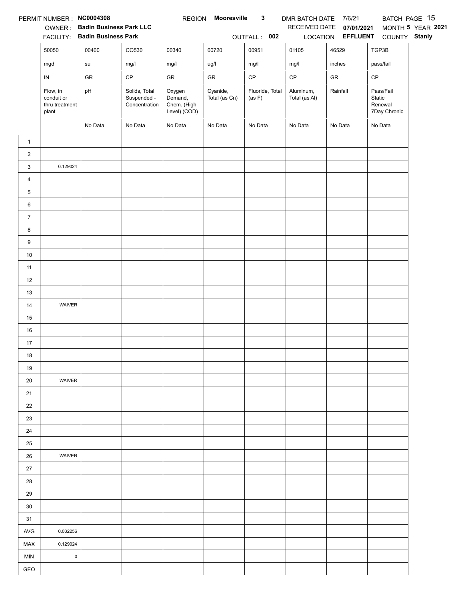|                | PERMIT NUMBER : NC0004308                         |                                |                                               | <b>REGION</b>                                    | Mooresville               | $\mathbf{3}$              | DMR BATCH DATE 7/6/21      |                   |                                                | BATCH PAGE 15     |
|----------------|---------------------------------------------------|--------------------------------|-----------------------------------------------|--------------------------------------------------|---------------------------|---------------------------|----------------------------|-------------------|------------------------------------------------|-------------------|
|                |                                                   | OWNER: Badin Business Park LLC |                                               |                                                  |                           |                           | RECEIVED DATE              | 07/01/2021        |                                                | MONTH 5 YEAR 2021 |
|                |                                                   | FACILITY: Badin Business Park  |                                               |                                                  |                           | OUTFALL: 002              |                            | LOCATION EFFLUENT | COUNTY Stanly                                  |                   |
|                | 50050                                             | 00400                          | CO530                                         | 00340                                            | 00720                     | 00951                     | 01105                      | 46529             | TGP3B                                          |                   |
|                | mgd                                               | su                             | mg/l                                          | mg/l                                             | ug/l                      | mg/l                      | mg/l                       | inches            | pass/fail                                      |                   |
|                | IN                                                | GR                             | $\mathsf{CP}$                                 | ${\sf GR}$                                       | GR                        | $\mathsf{CP}$             | $\mathsf{CP}$              | ${\sf GR}$        | CP                                             |                   |
|                | Flow, in<br>conduit or<br>thru treatment<br>plant | pH                             | Solids, Total<br>Suspended -<br>Concentration | Oxygen<br>Demand,<br>Chem. (High<br>Level) (COD) | Cyanide,<br>Total (as Cn) | Fluoride, Total<br>(as F) | Aluminum,<br>Total (as Al) | Rainfall          | Pass/Fail<br>Static<br>Renewal<br>7Day Chronic |                   |
|                |                                                   | No Data                        | No Data                                       | No Data                                          | No Data                   | No Data                   | No Data                    | No Data           | No Data                                        |                   |
| $\mathbf{1}$   |                                                   |                                |                                               |                                                  |                           |                           |                            |                   |                                                |                   |
| $\overline{2}$ |                                                   |                                |                                               |                                                  |                           |                           |                            |                   |                                                |                   |
| 3              | 0.129024                                          |                                |                                               |                                                  |                           |                           |                            |                   |                                                |                   |
| $\overline{4}$ |                                                   |                                |                                               |                                                  |                           |                           |                            |                   |                                                |                   |
| 5              |                                                   |                                |                                               |                                                  |                           |                           |                            |                   |                                                |                   |
| 6              |                                                   |                                |                                               |                                                  |                           |                           |                            |                   |                                                |                   |
| $\overline{7}$ |                                                   |                                |                                               |                                                  |                           |                           |                            |                   |                                                |                   |
| 8              |                                                   |                                |                                               |                                                  |                           |                           |                            |                   |                                                |                   |
| 9              |                                                   |                                |                                               |                                                  |                           |                           |                            |                   |                                                |                   |
| $10\,$         |                                                   |                                |                                               |                                                  |                           |                           |                            |                   |                                                |                   |
| 11             |                                                   |                                |                                               |                                                  |                           |                           |                            |                   |                                                |                   |
| 12             |                                                   |                                |                                               |                                                  |                           |                           |                            |                   |                                                |                   |
| 13             |                                                   |                                |                                               |                                                  |                           |                           |                            |                   |                                                |                   |
| 14             | WAIVER                                            |                                |                                               |                                                  |                           |                           |                            |                   |                                                |                   |
| 15             |                                                   |                                |                                               |                                                  |                           |                           |                            |                   |                                                |                   |
| 16             |                                                   |                                |                                               |                                                  |                           |                           |                            |                   |                                                |                   |
| 17             |                                                   |                                |                                               |                                                  |                           |                           |                            |                   |                                                |                   |
| 18             |                                                   |                                |                                               |                                                  |                           |                           |                            |                   |                                                |                   |
| 19             |                                                   |                                |                                               |                                                  |                           |                           |                            |                   |                                                |                   |
| 20             | WAIVER                                            |                                |                                               |                                                  |                           |                           |                            |                   |                                                |                   |
| 21             |                                                   |                                |                                               |                                                  |                           |                           |                            |                   |                                                |                   |
| 22             |                                                   |                                |                                               |                                                  |                           |                           |                            |                   |                                                |                   |
| 23             |                                                   |                                |                                               |                                                  |                           |                           |                            |                   |                                                |                   |
| 24             |                                                   |                                |                                               |                                                  |                           |                           |                            |                   |                                                |                   |
| 25             |                                                   |                                |                                               |                                                  |                           |                           |                            |                   |                                                |                   |
| 26             | <b>WAIVER</b>                                     |                                |                                               |                                                  |                           |                           |                            |                   |                                                |                   |
| $27\,$         |                                                   |                                |                                               |                                                  |                           |                           |                            |                   |                                                |                   |
| 28             |                                                   |                                |                                               |                                                  |                           |                           |                            |                   |                                                |                   |
| 29             |                                                   |                                |                                               |                                                  |                           |                           |                            |                   |                                                |                   |
| 30             |                                                   |                                |                                               |                                                  |                           |                           |                            |                   |                                                |                   |
| 31             |                                                   |                                |                                               |                                                  |                           |                           |                            |                   |                                                |                   |
| AVG            | 0.032256                                          |                                |                                               |                                                  |                           |                           |                            |                   |                                                |                   |
| <b>MAX</b>     | 0.129024                                          |                                |                                               |                                                  |                           |                           |                            |                   |                                                |                   |
| <b>MIN</b>     | $\pmb{0}$                                         |                                |                                               |                                                  |                           |                           |                            |                   |                                                |                   |
| GEO            |                                                   |                                |                                               |                                                  |                           |                           |                            |                   |                                                |                   |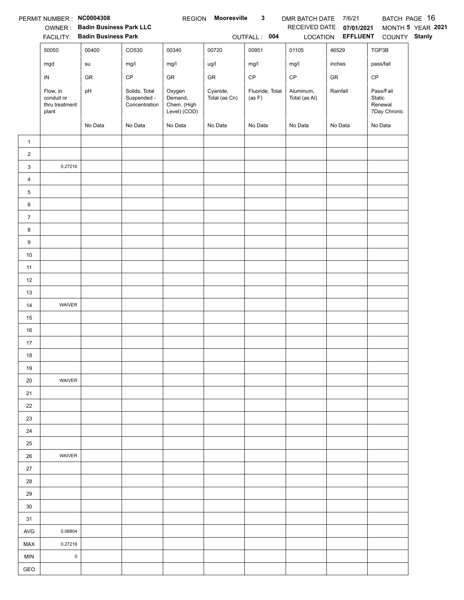|                | PERMIT NUMBER : NC0004308                         |                                |                                               | <b>REGION</b>                                    | Mooresville               | $\mathbf{3}$              | DMR BATCH DATE 7/6/21      |                          |                                                | BATCH PAGE 16     |
|----------------|---------------------------------------------------|--------------------------------|-----------------------------------------------|--------------------------------------------------|---------------------------|---------------------------|----------------------------|--------------------------|------------------------------------------------|-------------------|
|                |                                                   | OWNER: Badin Business Park LLC |                                               |                                                  |                           |                           |                            | RECEIVED DATE 07/01/2021 |                                                | MONTH 5 YEAR 2021 |
|                |                                                   | FACILITY: Badin Business Park  |                                               |                                                  |                           | OUTFALL: 004              |                            |                          | LOCATION EFFLUENT COUNTY Stanly                |                   |
|                | 50050                                             | 00400                          | CO530                                         | 00340                                            | 00720                     | 00951                     | 01105                      | 46529                    | TGP3B                                          |                   |
|                | mgd                                               | su                             | mg/l                                          | mg/l                                             | ug/l                      | mg/l                      | mg/l                       | inches                   | pass/fail                                      |                   |
|                | IN                                                | GR                             | $\mathsf{CP}$                                 | ${\sf GR}$                                       | ${\sf GR}$                | $\mathsf{CP}$             | $\mathsf{CP}$              | ${\sf GR}$               | CP                                             |                   |
|                | Flow, in<br>conduit or<br>thru treatment<br>plant | pH                             | Solids, Total<br>Suspended -<br>Concentration | Oxygen<br>Demand,<br>Chem. (High<br>Level) (COD) | Cyanide,<br>Total (as Cn) | Fluoride, Total<br>(as F) | Aluminum,<br>Total (as Al) | Rainfall                 | Pass/Fail<br>Static<br>Renewal<br>7Day Chronic |                   |
|                |                                                   | No Data                        | No Data                                       | No Data                                          | No Data                   | No Data                   | No Data                    | No Data                  | No Data                                        |                   |
| $\mathbf{1}$   |                                                   |                                |                                               |                                                  |                           |                           |                            |                          |                                                |                   |
| $\overline{a}$ |                                                   |                                |                                               |                                                  |                           |                           |                            |                          |                                                |                   |
| 3              | 0.27216                                           |                                |                                               |                                                  |                           |                           |                            |                          |                                                |                   |
| $\overline{4}$ |                                                   |                                |                                               |                                                  |                           |                           |                            |                          |                                                |                   |
| 5              |                                                   |                                |                                               |                                                  |                           |                           |                            |                          |                                                |                   |
| 6              |                                                   |                                |                                               |                                                  |                           |                           |                            |                          |                                                |                   |
| $\overline{7}$ |                                                   |                                |                                               |                                                  |                           |                           |                            |                          |                                                |                   |
| 8              |                                                   |                                |                                               |                                                  |                           |                           |                            |                          |                                                |                   |
| 9              |                                                   |                                |                                               |                                                  |                           |                           |                            |                          |                                                |                   |
| $10\,$         |                                                   |                                |                                               |                                                  |                           |                           |                            |                          |                                                |                   |
| 11             |                                                   |                                |                                               |                                                  |                           |                           |                            |                          |                                                |                   |
| 12             |                                                   |                                |                                               |                                                  |                           |                           |                            |                          |                                                |                   |
| 13             |                                                   |                                |                                               |                                                  |                           |                           |                            |                          |                                                |                   |
| $14$           | WAIVER                                            |                                |                                               |                                                  |                           |                           |                            |                          |                                                |                   |
| 15             |                                                   |                                |                                               |                                                  |                           |                           |                            |                          |                                                |                   |
| $16\,$         |                                                   |                                |                                               |                                                  |                           |                           |                            |                          |                                                |                   |
| 17             |                                                   |                                |                                               |                                                  |                           |                           |                            |                          |                                                |                   |
| 18             |                                                   |                                |                                               |                                                  |                           |                           |                            |                          |                                                |                   |
| 19             |                                                   |                                |                                               |                                                  |                           |                           |                            |                          |                                                |                   |
| 20             | WAIVER                                            |                                |                                               |                                                  |                           |                           |                            |                          |                                                |                   |
| 21             |                                                   |                                |                                               |                                                  |                           |                           |                            |                          |                                                |                   |
| 22             |                                                   |                                |                                               |                                                  |                           |                           |                            |                          |                                                |                   |
| 23             |                                                   |                                |                                               |                                                  |                           |                           |                            |                          |                                                |                   |
| 24             |                                                   |                                |                                               |                                                  |                           |                           |                            |                          |                                                |                   |
| 25             |                                                   |                                |                                               |                                                  |                           |                           |                            |                          |                                                |                   |
| 26             | WAIVER                                            |                                |                                               |                                                  |                           |                           |                            |                          |                                                |                   |
| $27\,$         |                                                   |                                |                                               |                                                  |                           |                           |                            |                          |                                                |                   |
| 28             |                                                   |                                |                                               |                                                  |                           |                           |                            |                          |                                                |                   |
| 29             |                                                   |                                |                                               |                                                  |                           |                           |                            |                          |                                                |                   |
| 30             |                                                   |                                |                                               |                                                  |                           |                           |                            |                          |                                                |                   |
| 31             |                                                   |                                |                                               |                                                  |                           |                           |                            |                          |                                                |                   |
| $\mathsf{AVG}$ | 0.06804                                           |                                |                                               |                                                  |                           |                           |                            |                          |                                                |                   |
| MAX            | 0.27216                                           |                                |                                               |                                                  |                           |                           |                            |                          |                                                |                   |
| <b>MIN</b>     | $\pmb{0}$                                         |                                |                                               |                                                  |                           |                           |                            |                          |                                                |                   |
| GEO            |                                                   |                                |                                               |                                                  |                           |                           |                            |                          |                                                |                   |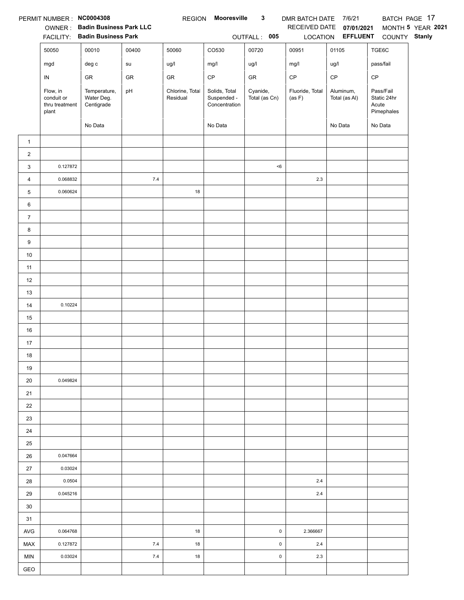|                | PERMIT NUMBER : NC0004308                         |                                                                 |            | <b>REGION</b>               | <b>Mooresville</b>                            | $\mathbf{3}$              | DMR BATCH DATE 7/6/21     |                                 |                                                 | BATCH PAGE 17     |
|----------------|---------------------------------------------------|-----------------------------------------------------------------|------------|-----------------------------|-----------------------------------------------|---------------------------|---------------------------|---------------------------------|-------------------------------------------------|-------------------|
|                |                                                   | OWNER: Badin Business Park LLC<br>FACILITY: Badin Business Park |            |                             |                                               |                           | RECEIVED DATE             | 07/01/2021<br>LOCATION EFFLUENT |                                                 | MONTH 5 YEAR 2021 |
|                |                                                   |                                                                 |            |                             |                                               | OUTFALL: 005              |                           |                                 | COUNTY Stanly                                   |                   |
|                | 50050                                             | 00010                                                           | 00400      | 50060                       | CO530                                         | 00720                     | 00951                     | 01105                           | TGE6C                                           |                   |
|                | mgd                                               | deg c                                                           | su         | ug/l                        | mg/l                                          | ug/l                      | mg/l                      | ug/l                            | pass/fail                                       |                   |
|                | IN                                                | ${\sf GR}$                                                      | ${\sf GR}$ | GR                          | $\mathsf{CP}$                                 | ${\sf GR}$                | $\mathsf{CP}$             | CP                              | CP                                              |                   |
|                | Flow, in<br>conduit or<br>thru treatment<br>plant | Temperature,<br>Water Deg.<br>Centigrade                        | pH         | Chlorine, Total<br>Residual | Solids, Total<br>Suspended -<br>Concentration | Cyanide,<br>Total (as Cn) | Fluoride, Total<br>(as F) | Aluminum,<br>Total (as Al)      | Pass/Fail<br>Static 24hr<br>Acute<br>Pimephales |                   |
|                |                                                   | No Data                                                         |            |                             | No Data                                       |                           |                           | No Data                         | No Data                                         |                   |
| $\mathbf{1}$   |                                                   |                                                                 |            |                             |                                               |                           |                           |                                 |                                                 |                   |
| $\overline{c}$ |                                                   |                                                                 |            |                             |                                               |                           |                           |                                 |                                                 |                   |
| 3              | 0.127872                                          |                                                                 |            |                             |                                               | < 6                       |                           |                                 |                                                 |                   |
| 4              | 0.068832                                          |                                                                 | 7.4        |                             |                                               |                           | 2.3                       |                                 |                                                 |                   |
| 5              | 0.060624                                          |                                                                 |            | 18                          |                                               |                           |                           |                                 |                                                 |                   |
| 6              |                                                   |                                                                 |            |                             |                                               |                           |                           |                                 |                                                 |                   |
| $\overline{7}$ |                                                   |                                                                 |            |                             |                                               |                           |                           |                                 |                                                 |                   |
| 8              |                                                   |                                                                 |            |                             |                                               |                           |                           |                                 |                                                 |                   |
| 9              |                                                   |                                                                 |            |                             |                                               |                           |                           |                                 |                                                 |                   |
| $10$           |                                                   |                                                                 |            |                             |                                               |                           |                           |                                 |                                                 |                   |
| 11             |                                                   |                                                                 |            |                             |                                               |                           |                           |                                 |                                                 |                   |
| 12             |                                                   |                                                                 |            |                             |                                               |                           |                           |                                 |                                                 |                   |
| 13             |                                                   |                                                                 |            |                             |                                               |                           |                           |                                 |                                                 |                   |
| $14$           | 0.10224                                           |                                                                 |            |                             |                                               |                           |                           |                                 |                                                 |                   |
| 15             |                                                   |                                                                 |            |                             |                                               |                           |                           |                                 |                                                 |                   |
| 16             |                                                   |                                                                 |            |                             |                                               |                           |                           |                                 |                                                 |                   |
| 17             |                                                   |                                                                 |            |                             |                                               |                           |                           |                                 |                                                 |                   |
| 18             |                                                   |                                                                 |            |                             |                                               |                           |                           |                                 |                                                 |                   |
| 19             |                                                   |                                                                 |            |                             |                                               |                           |                           |                                 |                                                 |                   |
| 20             | 0.049824                                          |                                                                 |            |                             |                                               |                           |                           |                                 |                                                 |                   |
| 21             |                                                   |                                                                 |            |                             |                                               |                           |                           |                                 |                                                 |                   |
| 22             |                                                   |                                                                 |            |                             |                                               |                           |                           |                                 |                                                 |                   |
| 23             |                                                   |                                                                 |            |                             |                                               |                           |                           |                                 |                                                 |                   |
| 24             |                                                   |                                                                 |            |                             |                                               |                           |                           |                                 |                                                 |                   |
| 25             |                                                   |                                                                 |            |                             |                                               |                           |                           |                                 |                                                 |                   |
| 26             | 0.047664                                          |                                                                 |            |                             |                                               |                           |                           |                                 |                                                 |                   |
| 27             | 0.03024                                           |                                                                 |            |                             |                                               |                           |                           |                                 |                                                 |                   |
| 28             | 0.0504                                            |                                                                 |            |                             |                                               |                           | 2.4                       |                                 |                                                 |                   |
| 29             | 0.045216                                          |                                                                 |            |                             |                                               |                           | 2.4                       |                                 |                                                 |                   |
| 30             |                                                   |                                                                 |            |                             |                                               |                           |                           |                                 |                                                 |                   |
| 31             |                                                   |                                                                 |            |                             |                                               |                           |                           |                                 |                                                 |                   |
| AVG            | 0.064768                                          |                                                                 |            | 18                          |                                               | $\pmb{0}$                 | 2.366667                  |                                 |                                                 |                   |
| MAX            | 0.127872                                          |                                                                 | 7.4        | 18                          |                                               | $\mathsf 0$               | 2.4                       |                                 |                                                 |                   |
| <b>MIN</b>     | 0.03024                                           |                                                                 | 7.4        | 18                          |                                               | $\pmb{0}$                 | 2.3                       |                                 |                                                 |                   |
| GEO            |                                                   |                                                                 |            |                             |                                               |                           |                           |                                 |                                                 |                   |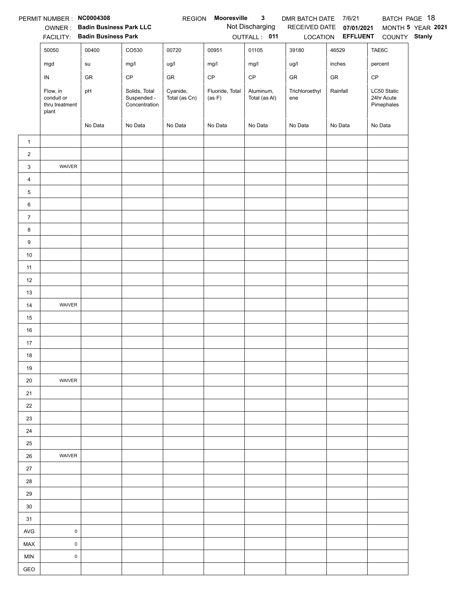|                | PERMIT NUMBER : NC0004308                         |                                        |                                               | <b>REGION</b>             | Mooresville               | $\mathbf{3}$               | DMR BATCH DATE 7/6/21 |                                   |                                         | BATCH PAGE 18     |
|----------------|---------------------------------------------------|----------------------------------------|-----------------------------------------------|---------------------------|---------------------------|----------------------------|-----------------------|-----------------------------------|-----------------------------------------|-------------------|
|                |                                                   | OWNER: Badin Business Park LLC         |                                               |                           |                           | Not Discharging            |                       | RECEIVED DATE 07/01/2021          |                                         | MONTH 5 YEAR 2021 |
|                | 50050                                             | FACILITY: Badin Business Park<br>00400 | CO530                                         | 00720                     | 00951                     | OUTFALL: 011<br>01105      | 39180                 | LOCATION <b>EFFLUENT</b><br>46529 | COUNTY Stanly<br>TAE6C                  |                   |
|                |                                                   |                                        |                                               |                           |                           |                            |                       |                                   |                                         |                   |
|                | mgd                                               | su                                     | mg/l                                          | ug/l                      | mg/l                      | mg/l                       | ug/l                  | inches                            | percent                                 |                   |
|                | ${\sf IN}$                                        | GR                                     | $\mathsf{CP}$                                 | GR                        | $\mathsf{CP}$             | $\mathsf{CP}$              | GR                    | GR                                | CP                                      |                   |
|                | Flow, in<br>conduit or<br>thru treatment<br>plant | pH                                     | Solids, Total<br>Suspended -<br>Concentration | Cyanide,<br>Total (as Cn) | Fluoride, Total<br>(as F) | Aluminum,<br>Total (as Al) | Trichloroethyl<br>ene | Rainfall                          | LC50 Static<br>24hr Acute<br>Pimephales |                   |
|                |                                                   | No Data                                | No Data                                       | No Data                   | No Data                   | No Data                    | No Data               | No Data                           | No Data                                 |                   |
| $\mathbf{1}$   |                                                   |                                        |                                               |                           |                           |                            |                       |                                   |                                         |                   |
| $\overline{2}$ |                                                   |                                        |                                               |                           |                           |                            |                       |                                   |                                         |                   |
| 3              | WAIVER                                            |                                        |                                               |                           |                           |                            |                       |                                   |                                         |                   |
| $\overline{4}$ |                                                   |                                        |                                               |                           |                           |                            |                       |                                   |                                         |                   |
| 5              |                                                   |                                        |                                               |                           |                           |                            |                       |                                   |                                         |                   |
| 6              |                                                   |                                        |                                               |                           |                           |                            |                       |                                   |                                         |                   |
| $\overline{7}$ |                                                   |                                        |                                               |                           |                           |                            |                       |                                   |                                         |                   |
| 8              |                                                   |                                        |                                               |                           |                           |                            |                       |                                   |                                         |                   |
| 9              |                                                   |                                        |                                               |                           |                           |                            |                       |                                   |                                         |                   |
| $10\,$         |                                                   |                                        |                                               |                           |                           |                            |                       |                                   |                                         |                   |
| 11             |                                                   |                                        |                                               |                           |                           |                            |                       |                                   |                                         |                   |
| 12             |                                                   |                                        |                                               |                           |                           |                            |                       |                                   |                                         |                   |
| 13             |                                                   |                                        |                                               |                           |                           |                            |                       |                                   |                                         |                   |
| 14             | WAIVER                                            |                                        |                                               |                           |                           |                            |                       |                                   |                                         |                   |
| 15             |                                                   |                                        |                                               |                           |                           |                            |                       |                                   |                                         |                   |
| 16             |                                                   |                                        |                                               |                           |                           |                            |                       |                                   |                                         |                   |
| 17             |                                                   |                                        |                                               |                           |                           |                            |                       |                                   |                                         |                   |
| 18             |                                                   |                                        |                                               |                           |                           |                            |                       |                                   |                                         |                   |
| 19             |                                                   |                                        |                                               |                           |                           |                            |                       |                                   |                                         |                   |
| 20             | WAIVER                                            |                                        |                                               |                           |                           |                            |                       |                                   |                                         |                   |
| 21             |                                                   |                                        |                                               |                           |                           |                            |                       |                                   |                                         |                   |
| 22             |                                                   |                                        |                                               |                           |                           |                            |                       |                                   |                                         |                   |
| 23             |                                                   |                                        |                                               |                           |                           |                            |                       |                                   |                                         |                   |
| 24             |                                                   |                                        |                                               |                           |                           |                            |                       |                                   |                                         |                   |
| 25             |                                                   |                                        |                                               |                           |                           |                            |                       |                                   |                                         |                   |
| 26             | WAIVER                                            |                                        |                                               |                           |                           |                            |                       |                                   |                                         |                   |
| 27             |                                                   |                                        |                                               |                           |                           |                            |                       |                                   |                                         |                   |
| 28             |                                                   |                                        |                                               |                           |                           |                            |                       |                                   |                                         |                   |
| 29             |                                                   |                                        |                                               |                           |                           |                            |                       |                                   |                                         |                   |
| 30             |                                                   |                                        |                                               |                           |                           |                            |                       |                                   |                                         |                   |
| 31             |                                                   |                                        |                                               |                           |                           |                            |                       |                                   |                                         |                   |
| AVG            | $\pmb{0}$                                         |                                        |                                               |                           |                           |                            |                       |                                   |                                         |                   |
| MAX            | $\mathsf 0$                                       |                                        |                                               |                           |                           |                            |                       |                                   |                                         |                   |
| <b>MIN</b>     | $\mathsf 0$                                       |                                        |                                               |                           |                           |                            |                       |                                   |                                         |                   |
| GEO            |                                                   |                                        |                                               |                           |                           |                            |                       |                                   |                                         |                   |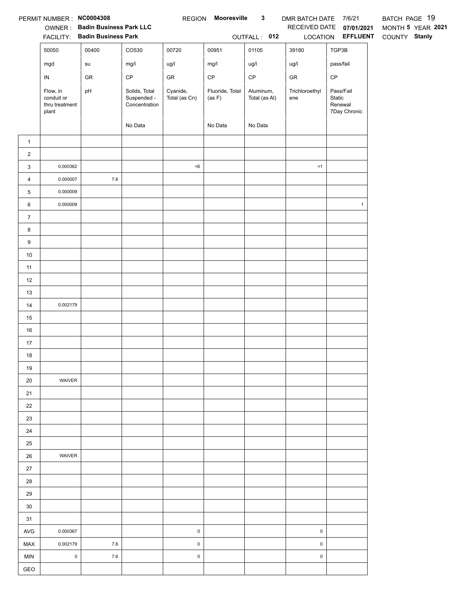|                  | PERMIT NUMBER: NC0004308                          | <b>OWNER: Badin Business Park LLC</b><br>FACILITY: Badin Business Park |                                               |                           | REGION Mooresville        | $\mathbf{3}$<br>OUTFALL: 012 | DMR BATCH DATE 7/6/21<br>LOCATION | RECEIVED DATE 07/01/2021<br><b>EFFLUENT</b>    | BATCH PAGE 19<br>MONTH 5 YEAR 2021<br>COUNTY Stanly |
|------------------|---------------------------------------------------|------------------------------------------------------------------------|-----------------------------------------------|---------------------------|---------------------------|------------------------------|-----------------------------------|------------------------------------------------|-----------------------------------------------------|
|                  | 50050                                             | 00400                                                                  | CO530                                         | 00720                     | 00951                     | 01105                        | 39180                             | TGP3B                                          |                                                     |
|                  | mgd                                               | su                                                                     | mg/l                                          | ug/l                      | mg/l                      | ug/l                         | ug/l                              | pass/fail                                      |                                                     |
|                  | ${\sf IN}$                                        | GR                                                                     | $\mathsf{CP}$                                 | ${\sf GR}$                | $\mathsf{CP}$             | $\mathsf{CP}$                | GR                                | $\mathsf{CP}$                                  |                                                     |
|                  | Flow, in<br>conduit or<br>thru treatment<br>plant | pH                                                                     | Solids, Total<br>Suspended -<br>Concentration | Cyanide,<br>Total (as Cn) | Fluoride, Total<br>(as F) | Aluminum,<br>Total (as Al)   | Trichloroethyl<br>ene             | Pass/Fail<br>Static<br>Renewal<br>7Day Chronic |                                                     |
|                  |                                                   |                                                                        | No Data                                       |                           | No Data                   | No Data                      |                                   |                                                |                                                     |
| $\mathbf{1}$     |                                                   |                                                                        |                                               |                           |                           |                              |                                   |                                                |                                                     |
| $\overline{a}$   |                                                   |                                                                        |                                               |                           |                           |                              |                                   |                                                |                                                     |
| 3                | 0.000362                                          |                                                                        |                                               | < 6                       |                           |                              | <1                                |                                                |                                                     |
| $\overline{4}$   | 0.000007                                          | $7.6\,$                                                                |                                               |                           |                           |                              |                                   |                                                |                                                     |
| 5                | 0.000009                                          |                                                                        |                                               |                           |                           |                              |                                   |                                                |                                                     |
| 6                | 0.000009                                          |                                                                        |                                               |                           |                           |                              |                                   | $\mathbf{1}$                                   |                                                     |
| $\boldsymbol{7}$ |                                                   |                                                                        |                                               |                           |                           |                              |                                   |                                                |                                                     |
| 8                |                                                   |                                                                        |                                               |                           |                           |                              |                                   |                                                |                                                     |
| 9                |                                                   |                                                                        |                                               |                           |                           |                              |                                   |                                                |                                                     |
| $10$             |                                                   |                                                                        |                                               |                           |                           |                              |                                   |                                                |                                                     |
| 11               |                                                   |                                                                        |                                               |                           |                           |                              |                                   |                                                |                                                     |
| 12               |                                                   |                                                                        |                                               |                           |                           |                              |                                   |                                                |                                                     |
| 13               |                                                   |                                                                        |                                               |                           |                           |                              |                                   |                                                |                                                     |
| 14               | 0.002179                                          |                                                                        |                                               |                           |                           |                              |                                   |                                                |                                                     |
| 15               |                                                   |                                                                        |                                               |                           |                           |                              |                                   |                                                |                                                     |
| 16               |                                                   |                                                                        |                                               |                           |                           |                              |                                   |                                                |                                                     |
| 17               |                                                   |                                                                        |                                               |                           |                           |                              |                                   |                                                |                                                     |
| 18               |                                                   |                                                                        |                                               |                           |                           |                              |                                   |                                                |                                                     |
| 19               |                                                   |                                                                        |                                               |                           |                           |                              |                                   |                                                |                                                     |
| 20               | WAIVER                                            |                                                                        |                                               |                           |                           |                              |                                   |                                                |                                                     |
| 21               |                                                   |                                                                        |                                               |                           |                           |                              |                                   |                                                |                                                     |
| 22               |                                                   |                                                                        |                                               |                           |                           |                              |                                   |                                                |                                                     |
| 23               |                                                   |                                                                        |                                               |                           |                           |                              |                                   |                                                |                                                     |
| 24               |                                                   |                                                                        |                                               |                           |                           |                              |                                   |                                                |                                                     |
| 25               | WAIVER                                            |                                                                        |                                               |                           |                           |                              |                                   |                                                |                                                     |
| 26<br>27         |                                                   |                                                                        |                                               |                           |                           |                              |                                   |                                                |                                                     |
| 28               |                                                   |                                                                        |                                               |                           |                           |                              |                                   |                                                |                                                     |
| 29               |                                                   |                                                                        |                                               |                           |                           |                              |                                   |                                                |                                                     |
| 30               |                                                   |                                                                        |                                               |                           |                           |                              |                                   |                                                |                                                     |
| 31               |                                                   |                                                                        |                                               |                           |                           |                              |                                   |                                                |                                                     |
| AVG              | 0.000367                                          |                                                                        |                                               | $\pmb{0}$                 |                           |                              | $\pmb{0}$                         |                                                |                                                     |
| MAX              | 0.002179                                          | $7.6\,$                                                                |                                               | $\pmb{0}$                 |                           |                              | 0                                 |                                                |                                                     |
| <b>MIN</b>       | $\mathsf 0$                                       | $7.6\,$                                                                |                                               | $\pmb{0}$                 |                           |                              | $\pmb{0}$                         |                                                |                                                     |
| GEO              |                                                   |                                                                        |                                               |                           |                           |                              |                                   |                                                |                                                     |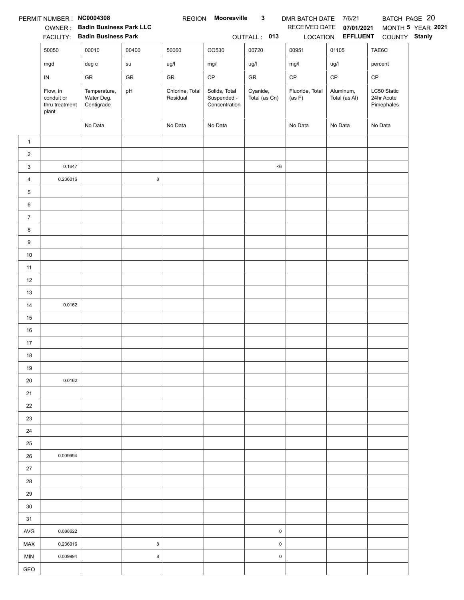|                | PERMIT NUMBER : NC0004308                         |                                          |            | <b>REGION</b>               | Mooresville                                   | $\mathbf{3}$              | DMR BATCH DATE 7/6/21     |                            |                                         | BATCH PAGE 20     |
|----------------|---------------------------------------------------|------------------------------------------|------------|-----------------------------|-----------------------------------------------|---------------------------|---------------------------|----------------------------|-----------------------------------------|-------------------|
|                |                                                   | OWNER: Badin Business Park LLC           |            |                             |                                               |                           | RECEIVED DATE             | 07/01/2021                 |                                         | MONTH 5 YEAR 2021 |
|                |                                                   | FACILITY: Badin Business Park            | 00400      |                             |                                               | OUTFALL: 013<br>00720     |                           | LOCATION <b>EFFLUENT</b>   | COUNTY Stanly                           |                   |
|                | 50050                                             | 00010                                    |            | 50060                       | CO530                                         |                           | 00951                     | 01105                      | TAE6C                                   |                   |
|                | mgd                                               | $\deg$ $\mathtt{c}$                      | su         | ug/l                        | mg/l                                          | ug/l                      | mg/l                      | ug/l                       | percent                                 |                   |
|                | ${\sf IN}$                                        | GR                                       | ${\sf GR}$ | GR                          | $\mathsf{CP}$                                 | ${\sf GR}$                | $\mathsf{CP}$             | $\mathsf{CP}$              | CP                                      |                   |
|                | Flow, in<br>conduit or<br>thru treatment<br>plant | Temperature,<br>Water Deg.<br>Centigrade | pH         | Chlorine, Total<br>Residual | Solids, Total<br>Suspended -<br>Concentration | Cyanide,<br>Total (as Cn) | Fluoride, Total<br>(as F) | Aluminum,<br>Total (as Al) | LC50 Static<br>24hr Acute<br>Pimephales |                   |
|                |                                                   | No Data                                  |            | No Data                     | No Data                                       |                           | No Data                   | No Data                    | No Data                                 |                   |
| $\mathbf{1}$   |                                                   |                                          |            |                             |                                               |                           |                           |                            |                                         |                   |
| $\sqrt{2}$     |                                                   |                                          |            |                             |                                               |                           |                           |                            |                                         |                   |
| 3              | 0.1647                                            |                                          |            |                             |                                               | $6$                       |                           |                            |                                         |                   |
| $\overline{4}$ | 0.236016                                          |                                          | 8          |                             |                                               |                           |                           |                            |                                         |                   |
| 5              |                                                   |                                          |            |                             |                                               |                           |                           |                            |                                         |                   |
| 6              |                                                   |                                          |            |                             |                                               |                           |                           |                            |                                         |                   |
| $\overline{7}$ |                                                   |                                          |            |                             |                                               |                           |                           |                            |                                         |                   |
| 8              |                                                   |                                          |            |                             |                                               |                           |                           |                            |                                         |                   |
| 9              |                                                   |                                          |            |                             |                                               |                           |                           |                            |                                         |                   |
| $10\,$         |                                                   |                                          |            |                             |                                               |                           |                           |                            |                                         |                   |
| 11             |                                                   |                                          |            |                             |                                               |                           |                           |                            |                                         |                   |
| 12             |                                                   |                                          |            |                             |                                               |                           |                           |                            |                                         |                   |
| 13             |                                                   |                                          |            |                             |                                               |                           |                           |                            |                                         |                   |
| $14$           | 0.0162                                            |                                          |            |                             |                                               |                           |                           |                            |                                         |                   |
| 15             |                                                   |                                          |            |                             |                                               |                           |                           |                            |                                         |                   |
| $16\,$         |                                                   |                                          |            |                             |                                               |                           |                           |                            |                                         |                   |
| 17             |                                                   |                                          |            |                             |                                               |                           |                           |                            |                                         |                   |
| 18             |                                                   |                                          |            |                             |                                               |                           |                           |                            |                                         |                   |
| 19             |                                                   |                                          |            |                             |                                               |                           |                           |                            |                                         |                   |
| 20             | 0.0162                                            |                                          |            |                             |                                               |                           |                           |                            |                                         |                   |
| 21             |                                                   |                                          |            |                             |                                               |                           |                           |                            |                                         |                   |
| 22             |                                                   |                                          |            |                             |                                               |                           |                           |                            |                                         |                   |
| 23             |                                                   |                                          |            |                             |                                               |                           |                           |                            |                                         |                   |
| 24             |                                                   |                                          |            |                             |                                               |                           |                           |                            |                                         |                   |
| 25             |                                                   |                                          |            |                             |                                               |                           |                           |                            |                                         |                   |
| 26             | 0.009994                                          |                                          |            |                             |                                               |                           |                           |                            |                                         |                   |
| 27             |                                                   |                                          |            |                             |                                               |                           |                           |                            |                                         |                   |
| 28             |                                                   |                                          |            |                             |                                               |                           |                           |                            |                                         |                   |
| 29             |                                                   |                                          |            |                             |                                               |                           |                           |                            |                                         |                   |
| 30             |                                                   |                                          |            |                             |                                               |                           |                           |                            |                                         |                   |
| 31             |                                                   |                                          |            |                             |                                               |                           |                           |                            |                                         |                   |
| AVG            | 0.088622                                          |                                          |            |                             |                                               | $\pmb{0}$                 |                           |                            |                                         |                   |
| MAX            | 0.236016                                          |                                          | 8          |                             |                                               | $\pmb{0}$                 |                           |                            |                                         |                   |
| MIN            | 0.009994                                          |                                          | 8          |                             |                                               | 0                         |                           |                            |                                         |                   |
| GEO            |                                                   |                                          |            |                             |                                               |                           |                           |                            |                                         |                   |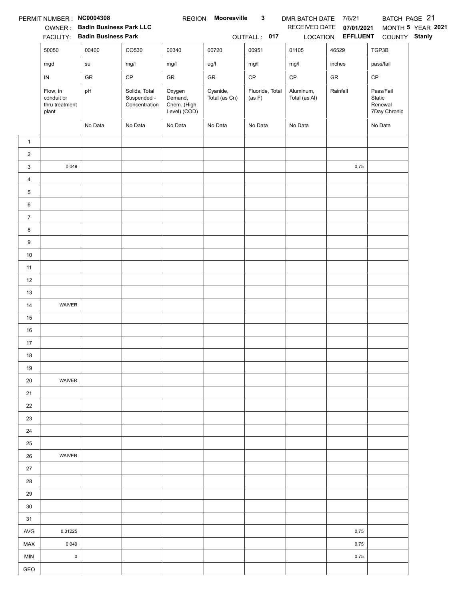|                | PERMIT NUMBER : NC0004308                         |                                |                                               | <b>REGION</b>                                    | Mooresville               | $\mathbf{3}$              | DMR BATCH DATE 7/6/21      |                          |                                                | BATCH PAGE 21     |
|----------------|---------------------------------------------------|--------------------------------|-----------------------------------------------|--------------------------------------------------|---------------------------|---------------------------|----------------------------|--------------------------|------------------------------------------------|-------------------|
|                |                                                   | OWNER: Badin Business Park LLC |                                               |                                                  |                           |                           |                            | RECEIVED DATE 07/01/2021 |                                                | MONTH 5 YEAR 2021 |
|                |                                                   | FACILITY: Badin Business Park  |                                               |                                                  |                           | OUTFALL: 017              |                            | LOCATION EFFLUENT        | COUNTY Stanly                                  |                   |
|                | 50050                                             | 00400                          | CO530                                         | 00340                                            | 00720                     | 00951                     | 01105                      | 46529                    | TGP3B                                          |                   |
|                | mgd                                               | ${\sf su}$                     | mg/l                                          | mg/l                                             | ug/l                      | mg/l                      | mg/l                       | inches                   | pass/fail                                      |                   |
|                | IN                                                | GR                             | $\mathsf{CP}$                                 | GR                                               | ${\sf GR}$                | $\mathsf{CP}$             | $\mathsf{CP}$              | ${\sf GR}$               | CP                                             |                   |
|                | Flow, in<br>conduit or<br>thru treatment<br>plant | pH                             | Solids, Total<br>Suspended -<br>Concentration | Oxygen<br>Demand,<br>Chem. (High<br>Level) (COD) | Cyanide,<br>Total (as Cn) | Fluoride, Total<br>(as F) | Aluminum,<br>Total (as Al) | Rainfall                 | Pass/Fail<br>Static<br>Renewal<br>7Day Chronic |                   |
|                |                                                   | No Data                        | No Data                                       | No Data                                          | No Data                   | No Data                   | No Data                    |                          | No Data                                        |                   |
| $\mathbf{1}$   |                                                   |                                |                                               |                                                  |                           |                           |                            |                          |                                                |                   |
| $\overline{a}$ |                                                   |                                |                                               |                                                  |                           |                           |                            |                          |                                                |                   |
| 3              | 0.049                                             |                                |                                               |                                                  |                           |                           |                            | 0.75                     |                                                |                   |
| $\overline{4}$ |                                                   |                                |                                               |                                                  |                           |                           |                            |                          |                                                |                   |
| 5              |                                                   |                                |                                               |                                                  |                           |                           |                            |                          |                                                |                   |
| 6              |                                                   |                                |                                               |                                                  |                           |                           |                            |                          |                                                |                   |
| $\overline{7}$ |                                                   |                                |                                               |                                                  |                           |                           |                            |                          |                                                |                   |
| 8              |                                                   |                                |                                               |                                                  |                           |                           |                            |                          |                                                |                   |
| 9              |                                                   |                                |                                               |                                                  |                           |                           |                            |                          |                                                |                   |
| $10\,$         |                                                   |                                |                                               |                                                  |                           |                           |                            |                          |                                                |                   |
| 11             |                                                   |                                |                                               |                                                  |                           |                           |                            |                          |                                                |                   |
| 12             |                                                   |                                |                                               |                                                  |                           |                           |                            |                          |                                                |                   |
| 13             |                                                   |                                |                                               |                                                  |                           |                           |                            |                          |                                                |                   |
| 14             | WAIVER                                            |                                |                                               |                                                  |                           |                           |                            |                          |                                                |                   |
| 15             |                                                   |                                |                                               |                                                  |                           |                           |                            |                          |                                                |                   |
| 16             |                                                   |                                |                                               |                                                  |                           |                           |                            |                          |                                                |                   |
| 17             |                                                   |                                |                                               |                                                  |                           |                           |                            |                          |                                                |                   |
| 18             |                                                   |                                |                                               |                                                  |                           |                           |                            |                          |                                                |                   |
| 19             |                                                   |                                |                                               |                                                  |                           |                           |                            |                          |                                                |                   |
| 20             | WAIVER                                            |                                |                                               |                                                  |                           |                           |                            |                          |                                                |                   |
| 21             |                                                   |                                |                                               |                                                  |                           |                           |                            |                          |                                                |                   |
| 22             |                                                   |                                |                                               |                                                  |                           |                           |                            |                          |                                                |                   |
| 23             |                                                   |                                |                                               |                                                  |                           |                           |                            |                          |                                                |                   |
| 24             |                                                   |                                |                                               |                                                  |                           |                           |                            |                          |                                                |                   |
| 25             |                                                   |                                |                                               |                                                  |                           |                           |                            |                          |                                                |                   |
| 26             | WAIVER                                            |                                |                                               |                                                  |                           |                           |                            |                          |                                                |                   |
| 27             |                                                   |                                |                                               |                                                  |                           |                           |                            |                          |                                                |                   |
| 28             |                                                   |                                |                                               |                                                  |                           |                           |                            |                          |                                                |                   |
| 29             |                                                   |                                |                                               |                                                  |                           |                           |                            |                          |                                                |                   |
| 30             |                                                   |                                |                                               |                                                  |                           |                           |                            |                          |                                                |                   |
| 31             |                                                   |                                |                                               |                                                  |                           |                           |                            |                          |                                                |                   |
| <b>AVG</b>     | 0.01225                                           |                                |                                               |                                                  |                           |                           |                            | 0.75                     |                                                |                   |
| <b>MAX</b>     | 0.049                                             |                                |                                               |                                                  |                           |                           |                            | 0.75                     |                                                |                   |
| <b>MIN</b>     | $\mathsf 0$                                       |                                |                                               |                                                  |                           |                           |                            | 0.75                     |                                                |                   |
| GEO            |                                                   |                                |                                               |                                                  |                           |                           |                            |                          |                                                |                   |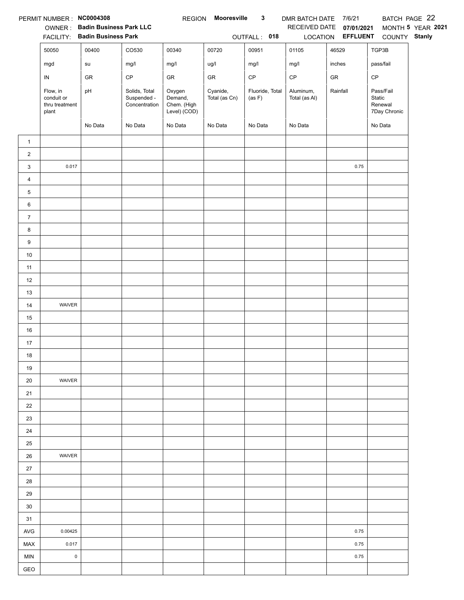|                | PERMIT NUMBER : NC0004308                         |                                |                                               | <b>REGION</b>                                    | <b>Mooresville</b>        | $\mathbf{3}$              | DMR BATCH DATE 7/6/21      |                   |                                                | BATCH PAGE 22     |
|----------------|---------------------------------------------------|--------------------------------|-----------------------------------------------|--------------------------------------------------|---------------------------|---------------------------|----------------------------|-------------------|------------------------------------------------|-------------------|
|                |                                                   | OWNER: Badin Business Park LLC |                                               |                                                  |                           |                           | RECEIVED DATE              | 07/01/2021        |                                                | MONTH 5 YEAR 2021 |
|                |                                                   | FACILITY: Badin Business Park  |                                               |                                                  |                           | OUTFALL: 018              |                            | LOCATION EFFLUENT | COUNTY Stanly                                  |                   |
|                | 50050                                             | 00400                          | CO530                                         | 00340                                            | 00720                     | 00951                     | 01105                      | 46529             | TGP3B                                          |                   |
|                | mgd                                               | su                             | mg/l                                          | mg/l                                             | ug/l                      | mg/l                      | mg/l                       | inches            | pass/fail                                      |                   |
|                | IN                                                | GR                             | $\mathsf{CP}$                                 | ${\sf GR}$                                       | GR                        | $\mathsf{CP}$             | $\mathsf{CP}$              | ${\sf GR}$        | CP                                             |                   |
|                | Flow, in<br>conduit or<br>thru treatment<br>plant | pH                             | Solids, Total<br>Suspended -<br>Concentration | Oxygen<br>Demand,<br>Chem. (High<br>Level) (COD) | Cyanide,<br>Total (as Cn) | Fluoride, Total<br>(as F) | Aluminum,<br>Total (as Al) | Rainfall          | Pass/Fail<br>Static<br>Renewal<br>7Day Chronic |                   |
|                |                                                   | No Data                        | No Data                                       | No Data                                          | No Data                   | No Data                   | No Data                    |                   | No Data                                        |                   |
| $\mathbf{1}$   |                                                   |                                |                                               |                                                  |                           |                           |                            |                   |                                                |                   |
| $\overline{2}$ |                                                   |                                |                                               |                                                  |                           |                           |                            |                   |                                                |                   |
| 3              | 0.017                                             |                                |                                               |                                                  |                           |                           |                            | 0.75              |                                                |                   |
| 4              |                                                   |                                |                                               |                                                  |                           |                           |                            |                   |                                                |                   |
| 5              |                                                   |                                |                                               |                                                  |                           |                           |                            |                   |                                                |                   |
| 6              |                                                   |                                |                                               |                                                  |                           |                           |                            |                   |                                                |                   |
| $\overline{7}$ |                                                   |                                |                                               |                                                  |                           |                           |                            |                   |                                                |                   |
| 8              |                                                   |                                |                                               |                                                  |                           |                           |                            |                   |                                                |                   |
| 9              |                                                   |                                |                                               |                                                  |                           |                           |                            |                   |                                                |                   |
| $10\,$         |                                                   |                                |                                               |                                                  |                           |                           |                            |                   |                                                |                   |
| 11             |                                                   |                                |                                               |                                                  |                           |                           |                            |                   |                                                |                   |
| 12             |                                                   |                                |                                               |                                                  |                           |                           |                            |                   |                                                |                   |
| 13             |                                                   |                                |                                               |                                                  |                           |                           |                            |                   |                                                |                   |
| 14             | WAIVER                                            |                                |                                               |                                                  |                           |                           |                            |                   |                                                |                   |
| 15             |                                                   |                                |                                               |                                                  |                           |                           |                            |                   |                                                |                   |
| 16             |                                                   |                                |                                               |                                                  |                           |                           |                            |                   |                                                |                   |
| 17             |                                                   |                                |                                               |                                                  |                           |                           |                            |                   |                                                |                   |
| 18             |                                                   |                                |                                               |                                                  |                           |                           |                            |                   |                                                |                   |
| 19             |                                                   |                                |                                               |                                                  |                           |                           |                            |                   |                                                |                   |
| 20             | WAIVER                                            |                                |                                               |                                                  |                           |                           |                            |                   |                                                |                   |
| 21             |                                                   |                                |                                               |                                                  |                           |                           |                            |                   |                                                |                   |
| 22             |                                                   |                                |                                               |                                                  |                           |                           |                            |                   |                                                |                   |
| 23             |                                                   |                                |                                               |                                                  |                           |                           |                            |                   |                                                |                   |
| 24             |                                                   |                                |                                               |                                                  |                           |                           |                            |                   |                                                |                   |
| 25             |                                                   |                                |                                               |                                                  |                           |                           |                            |                   |                                                |                   |
| 26             | <b>WAIVER</b>                                     |                                |                                               |                                                  |                           |                           |                            |                   |                                                |                   |
| $27\,$         |                                                   |                                |                                               |                                                  |                           |                           |                            |                   |                                                |                   |
| 28             |                                                   |                                |                                               |                                                  |                           |                           |                            |                   |                                                |                   |
| 29             |                                                   |                                |                                               |                                                  |                           |                           |                            |                   |                                                |                   |
| 30             |                                                   |                                |                                               |                                                  |                           |                           |                            |                   |                                                |                   |
| 31             |                                                   |                                |                                               |                                                  |                           |                           |                            |                   |                                                |                   |
| AVG            | 0.00425                                           |                                |                                               |                                                  |                           |                           |                            | 0.75              |                                                |                   |
| MAX            | 0.017                                             |                                |                                               |                                                  |                           |                           |                            | 0.75              |                                                |                   |
| <b>MIN</b>     | $\mathsf 0$                                       |                                |                                               |                                                  |                           |                           |                            | 0.75              |                                                |                   |
| GEO            |                                                   |                                |                                               |                                                  |                           |                           |                            |                   |                                                |                   |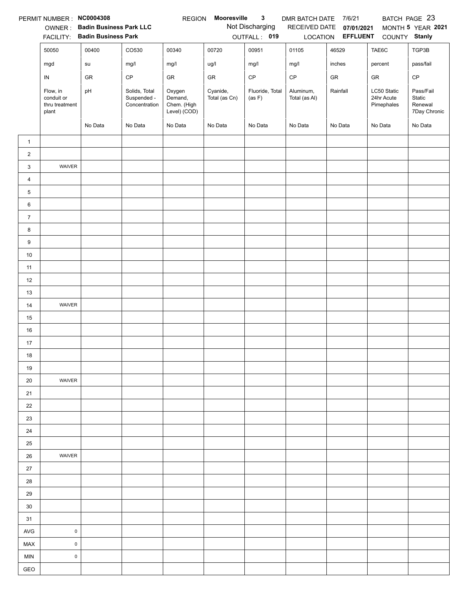|                | PERMIT NUMBER : NC0004308                         |                                |                                               | <b>REGION</b>                                    | Mooresville               | $\mathbf{3}$              | DMR BATCH DATE             | 7/6/21                   |                                         | BATCH PAGE 23                                  |
|----------------|---------------------------------------------------|--------------------------------|-----------------------------------------------|--------------------------------------------------|---------------------------|---------------------------|----------------------------|--------------------------|-----------------------------------------|------------------------------------------------|
|                |                                                   | OWNER: Badin Business Park LLC |                                               |                                                  |                           | Not Discharging           | RECEIVED DATE              | 07/01/2021               |                                         | MONTH 5 YEAR 2021                              |
|                |                                                   | FACILITY: Badin Business Park  |                                               |                                                  |                           | OUTFALL: 019              |                            | LOCATION <b>EFFLUENT</b> | COUNTY Stanly                           |                                                |
|                | 50050                                             | 00400                          | CO530                                         | 00340                                            | 00720                     | 00951                     | 01105                      | 46529                    | TAE6C                                   | TGP3B                                          |
|                | mgd                                               | su                             | mg/l                                          | mg/l                                             | ug/l                      | mg/l                      | mg/l                       | inches                   | percent                                 | pass/fail                                      |
|                | IN                                                | GR                             | CP                                            | GR                                               | GR                        | $\mathsf{CP}$             | $\mathsf{CP}$              | GR                       | GR                                      | $\mathsf{CP}$                                  |
|                | Flow, in<br>conduit or<br>thru treatment<br>plant | pH                             | Solids, Total<br>Suspended -<br>Concentration | Oxygen<br>Demand,<br>Chem. (High<br>Level) (COD) | Cyanide,<br>Total (as Cn) | Fluoride, Total<br>(as F) | Aluminum,<br>Total (as Al) | Rainfall                 | LC50 Static<br>24hr Acute<br>Pimephales | Pass/Fail<br>Static<br>Renewal<br>7Day Chronic |
|                |                                                   | No Data                        | No Data                                       | No Data                                          | No Data                   | No Data                   | No Data                    | No Data                  | No Data                                 | No Data                                        |
| $\mathbf{1}$   |                                                   |                                |                                               |                                                  |                           |                           |                            |                          |                                         |                                                |
| $\overline{2}$ |                                                   |                                |                                               |                                                  |                           |                           |                            |                          |                                         |                                                |
| 3              | WAIVER                                            |                                |                                               |                                                  |                           |                           |                            |                          |                                         |                                                |
| $\overline{4}$ |                                                   |                                |                                               |                                                  |                           |                           |                            |                          |                                         |                                                |
| $\sqrt{5}$     |                                                   |                                |                                               |                                                  |                           |                           |                            |                          |                                         |                                                |
| 6              |                                                   |                                |                                               |                                                  |                           |                           |                            |                          |                                         |                                                |
| $\overline{7}$ |                                                   |                                |                                               |                                                  |                           |                           |                            |                          |                                         |                                                |
| 8              |                                                   |                                |                                               |                                                  |                           |                           |                            |                          |                                         |                                                |
| 9              |                                                   |                                |                                               |                                                  |                           |                           |                            |                          |                                         |                                                |
| $10\,$         |                                                   |                                |                                               |                                                  |                           |                           |                            |                          |                                         |                                                |
| 11             |                                                   |                                |                                               |                                                  |                           |                           |                            |                          |                                         |                                                |
| 12             |                                                   |                                |                                               |                                                  |                           |                           |                            |                          |                                         |                                                |
| 13             |                                                   |                                |                                               |                                                  |                           |                           |                            |                          |                                         |                                                |
| 14             | WAIVER                                            |                                |                                               |                                                  |                           |                           |                            |                          |                                         |                                                |
| 15             |                                                   |                                |                                               |                                                  |                           |                           |                            |                          |                                         |                                                |
| 16             |                                                   |                                |                                               |                                                  |                           |                           |                            |                          |                                         |                                                |
| 17             |                                                   |                                |                                               |                                                  |                           |                           |                            |                          |                                         |                                                |
| 18             |                                                   |                                |                                               |                                                  |                           |                           |                            |                          |                                         |                                                |
| 19             |                                                   |                                |                                               |                                                  |                           |                           |                            |                          |                                         |                                                |
| 20             | WAIVER                                            |                                |                                               |                                                  |                           |                           |                            |                          |                                         |                                                |
| 21             |                                                   |                                |                                               |                                                  |                           |                           |                            |                          |                                         |                                                |
| 22             |                                                   |                                |                                               |                                                  |                           |                           |                            |                          |                                         |                                                |
| 23             |                                                   |                                |                                               |                                                  |                           |                           |                            |                          |                                         |                                                |
| 24             |                                                   |                                |                                               |                                                  |                           |                           |                            |                          |                                         |                                                |
| 25             |                                                   |                                |                                               |                                                  |                           |                           |                            |                          |                                         |                                                |
| 26             | WAIVER                                            |                                |                                               |                                                  |                           |                           |                            |                          |                                         |                                                |
| 27             |                                                   |                                |                                               |                                                  |                           |                           |                            |                          |                                         |                                                |
| 28             |                                                   |                                |                                               |                                                  |                           |                           |                            |                          |                                         |                                                |
| 29             |                                                   |                                |                                               |                                                  |                           |                           |                            |                          |                                         |                                                |
| 30             |                                                   |                                |                                               |                                                  |                           |                           |                            |                          |                                         |                                                |
| 31             |                                                   |                                |                                               |                                                  |                           |                           |                            |                          |                                         |                                                |
| <b>AVG</b>     | $\mathsf 0$                                       |                                |                                               |                                                  |                           |                           |                            |                          |                                         |                                                |
| MAX            | $\mathsf 0$                                       |                                |                                               |                                                  |                           |                           |                            |                          |                                         |                                                |
| MIN            | $\mathsf 0$                                       |                                |                                               |                                                  |                           |                           |                            |                          |                                         |                                                |
| GEO            |                                                   |                                |                                               |                                                  |                           |                           |                            |                          |                                         |                                                |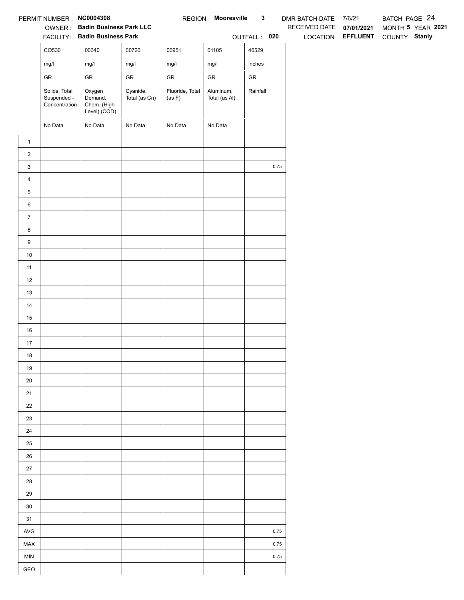|                  | PERMIT NUMBER: NC0004308                      |                                                  |                           | <b>REGION</b>             | Mooresville                | $\mathbf{3}$ |      | DMR BATCH DATE 7/6/21 |                   | BATCH PAGE 24 |                   |
|------------------|-----------------------------------------------|--------------------------------------------------|---------------------------|---------------------------|----------------------------|--------------|------|-----------------------|-------------------|---------------|-------------------|
|                  |                                               | OWNER: Badin Business Park LLC                   |                           |                           |                            |              |      | RECEIVED DATE         | 07/01/2021        |               | MONTH 5 YEAR 2021 |
|                  |                                               | FACILITY: Badin Business Park                    |                           |                           |                            | OUTFALL: 020 |      |                       | LOCATION EFFLUENT | COUNTY Stanly |                   |
|                  | CO530                                         | 00340                                            | 00720                     | 00951                     | 01105                      | 46529        |      |                       |                   |               |                   |
|                  | mg/l                                          | mg/l                                             | mg/l                      | mg/l                      | mg/l                       | inches       |      |                       |                   |               |                   |
|                  | ${\sf GR}$                                    | ${\sf GR}$                                       | ${\sf GR}$                | ${\sf GR}$                | ${\sf GR}$                 | ${\sf GR}$   |      |                       |                   |               |                   |
|                  | Solids, Total<br>Suspended -<br>Concentration | Oxygen<br>Demand,<br>Chem. (High<br>Level) (COD) | Cyanide,<br>Total (as Cn) | Fluoride, Total<br>(as F) | Aluminum,<br>Total (as Al) | Rainfall     |      |                       |                   |               |                   |
|                  | No Data                                       | No Data                                          | No Data                   | No Data                   | No Data                    |              |      |                       |                   |               |                   |
| $\mathbf{1}$     |                                               |                                                  |                           |                           |                            |              |      |                       |                   |               |                   |
| $\overline{a}$   |                                               |                                                  |                           |                           |                            |              |      |                       |                   |               |                   |
| $\mathbf{3}$     |                                               |                                                  |                           |                           |                            |              | 0.75 |                       |                   |               |                   |
| $\overline{4}$   |                                               |                                                  |                           |                           |                            |              |      |                       |                   |               |                   |
| 5                |                                               |                                                  |                           |                           |                            |              |      |                       |                   |               |                   |
| $6\phantom{.}6$  |                                               |                                                  |                           |                           |                            |              |      |                       |                   |               |                   |
| $\overline{7}$   |                                               |                                                  |                           |                           |                            |              |      |                       |                   |               |                   |
| $\bf8$           |                                               |                                                  |                           |                           |                            |              |      |                       |                   |               |                   |
| $\boldsymbol{9}$ |                                               |                                                  |                           |                           |                            |              |      |                       |                   |               |                   |
| $10$             |                                               |                                                  |                           |                           |                            |              |      |                       |                   |               |                   |
| 11               |                                               |                                                  |                           |                           |                            |              |      |                       |                   |               |                   |
| 12               |                                               |                                                  |                           |                           |                            |              |      |                       |                   |               |                   |
| 13               |                                               |                                                  |                           |                           |                            |              |      |                       |                   |               |                   |
| 14               |                                               |                                                  |                           |                           |                            |              |      |                       |                   |               |                   |
| 15               |                                               |                                                  |                           |                           |                            |              |      |                       |                   |               |                   |
| 16               |                                               |                                                  |                           |                           |                            |              |      |                       |                   |               |                   |
| 17               |                                               |                                                  |                           |                           |                            |              |      |                       |                   |               |                   |
| 18               |                                               |                                                  |                           |                           |                            |              |      |                       |                   |               |                   |
| 19               |                                               |                                                  |                           |                           |                            |              |      |                       |                   |               |                   |
| $20\,$           |                                               |                                                  |                           |                           |                            |              |      |                       |                   |               |                   |
| 21               |                                               |                                                  |                           |                           |                            |              |      |                       |                   |               |                   |
| 22               |                                               |                                                  |                           |                           |                            |              |      |                       |                   |               |                   |
| 23               |                                               |                                                  |                           |                           |                            |              |      |                       |                   |               |                   |
| 24               |                                               |                                                  |                           |                           |                            |              |      |                       |                   |               |                   |
| 25               |                                               |                                                  |                           |                           |                            |              |      |                       |                   |               |                   |
| 26               |                                               |                                                  |                           |                           |                            |              |      |                       |                   |               |                   |
| 27               |                                               |                                                  |                           |                           |                            |              |      |                       |                   |               |                   |
| 28               |                                               |                                                  |                           |                           |                            |              |      |                       |                   |               |                   |
| 29               |                                               |                                                  |                           |                           |                            |              |      |                       |                   |               |                   |
| $30\,$           |                                               |                                                  |                           |                           |                            |              |      |                       |                   |               |                   |
| 31               |                                               |                                                  |                           |                           |                            |              |      |                       |                   |               |                   |
| AVG              |                                               |                                                  |                           |                           |                            |              | 0.75 |                       |                   |               |                   |
| MAX              |                                               |                                                  |                           |                           |                            |              | 0.75 |                       |                   |               |                   |
| <b>MIN</b>       |                                               |                                                  |                           |                           |                            |              | 0.75 |                       |                   |               |                   |
| GEO              |                                               |                                                  |                           |                           |                            |              |      |                       |                   |               |                   |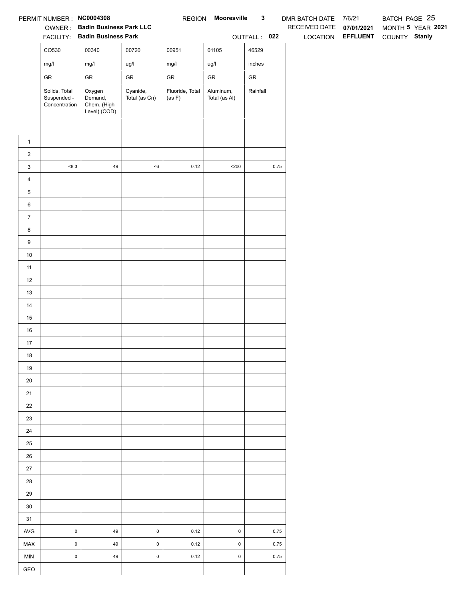|                | PERMIT NUMBER: NC0004308                      |                                                  |                           | <b>REGION</b>             | <b>Mooresville</b>         | $\mathbf{3}$ | DMR BATCH DATE 7/6/21 |                   | BATCH PAGE 25     |
|----------------|-----------------------------------------------|--------------------------------------------------|---------------------------|---------------------------|----------------------------|--------------|-----------------------|-------------------|-------------------|
|                |                                               | OWNER: Badin Business Park LLC                   |                           |                           |                            |              | RECEIVED DATE         | 07/01/2021        | MONTH 5 YEAR 2021 |
|                |                                               | FACILITY: Badin Business Park                    |                           |                           |                            | OUTFALL: 022 |                       | LOCATION EFFLUENT | COUNTY Stanly     |
|                | CO530                                         | 00340                                            | 00720                     | 00951                     | 01105                      | 46529        |                       |                   |                   |
|                | mg/l                                          | mg/l                                             | ug/l                      | mg/l                      | ug/l                       | inches       |                       |                   |                   |
|                | ${\sf GR}$                                    | ${\sf GR}$                                       | ${\sf GR}$                | ${\sf GR}$                | ${\sf GR}$                 | ${\sf GR}$   |                       |                   |                   |
|                | Solids, Total<br>Suspended -<br>Concentration | Oxygen<br>Demand,<br>Chem. (High<br>Level) (COD) | Cyanide,<br>Total (as Cn) | Fluoride, Total<br>(as F) | Aluminum,<br>Total (as Al) | Rainfall     |                       |                   |                   |
| $\mathbf{1}$   |                                               |                                                  |                           |                           |                            |              |                       |                   |                   |
| $\overline{a}$ |                                               |                                                  |                           |                           |                            |              |                       |                   |                   |
| $\mathbf{3}$   | < 8.3                                         | $\bf 49$                                         | $<\!6$                    | 0.12                      | $200$                      |              | $0.75\,$              |                   |                   |
| $\overline{4}$ |                                               |                                                  |                           |                           |                            |              |                       |                   |                   |
| 5              |                                               |                                                  |                           |                           |                            |              |                       |                   |                   |
| $\,6\,$        |                                               |                                                  |                           |                           |                            |              |                       |                   |                   |
| $\overline{7}$ |                                               |                                                  |                           |                           |                            |              |                       |                   |                   |
| 8              |                                               |                                                  |                           |                           |                            |              |                       |                   |                   |
| 9              |                                               |                                                  |                           |                           |                            |              |                       |                   |                   |
| $10\,$         |                                               |                                                  |                           |                           |                            |              |                       |                   |                   |
| 11             |                                               |                                                  |                           |                           |                            |              |                       |                   |                   |
| 12             |                                               |                                                  |                           |                           |                            |              |                       |                   |                   |
| 13             |                                               |                                                  |                           |                           |                            |              |                       |                   |                   |
| 14             |                                               |                                                  |                           |                           |                            |              |                       |                   |                   |
| 15             |                                               |                                                  |                           |                           |                            |              |                       |                   |                   |
| 16             |                                               |                                                  |                           |                           |                            |              |                       |                   |                   |
| 17             |                                               |                                                  |                           |                           |                            |              |                       |                   |                   |
| 18             |                                               |                                                  |                           |                           |                            |              |                       |                   |                   |
| 19             |                                               |                                                  |                           |                           |                            |              |                       |                   |                   |
| 20             |                                               |                                                  |                           |                           |                            |              |                       |                   |                   |
| 21             |                                               |                                                  |                           |                           |                            |              |                       |                   |                   |
| 22             |                                               |                                                  |                           |                           |                            |              |                       |                   |                   |
| 23             |                                               |                                                  |                           |                           |                            |              |                       |                   |                   |
| 24             |                                               |                                                  |                           |                           |                            |              |                       |                   |                   |
| 25             |                                               |                                                  |                           |                           |                            |              |                       |                   |                   |
| 26             |                                               |                                                  |                           |                           |                            |              |                       |                   |                   |
| $27\,$         |                                               |                                                  |                           |                           |                            |              |                       |                   |                   |
| 28             |                                               |                                                  |                           |                           |                            |              |                       |                   |                   |
| 29             |                                               |                                                  |                           |                           |                            |              |                       |                   |                   |
| 30             |                                               |                                                  |                           |                           |                            |              |                       |                   |                   |
| 31             |                                               |                                                  |                           |                           |                            |              |                       |                   |                   |
| AVG            | $\mathbf 0$                                   | 49                                               | $\mathsf{O}\xspace$       | 0.12                      | $\pmb{0}$                  |              | 0.75                  |                   |                   |
| MAX            | $\mathsf{O}\xspace$                           | 49                                               | $\mathsf{O}\xspace$       | 0.12                      | $\pmb{0}$                  |              | 0.75                  |                   |                   |
| <b>MIN</b>     | $\mathsf 0$                                   | 49                                               | $\mathsf{O}\xspace$       | 0.12                      | $\pmb{0}$                  |              | 0.75                  |                   |                   |
| GEO            |                                               |                                                  |                           |                           |                            |              |                       |                   |                   |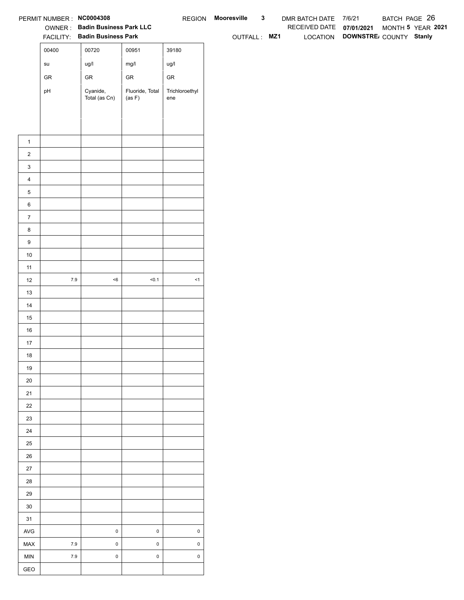|                  | PERMIT NUMBER : NC0004308             |                                                                 |                           |                       | REGION Mooresville | $\mathbf{3}$ | DMR BATCH DATE 7/6/21    |                                 | BATCH PAGE 26     |  |
|------------------|---------------------------------------|-----------------------------------------------------------------|---------------------------|-----------------------|--------------------|--------------|--------------------------|---------------------------------|-------------------|--|
|                  |                                       | OWNER: Badin Business Park LLC<br>FACILITY: Badin Business Park |                           |                       |                    |              | RECEIVED DATE 07/01/2021 | LOCATION DOWNSTRE COUNTY Stanly | MONTH 5 YEAR 2021 |  |
|                  |                                       |                                                                 |                           |                       | OUTFALL: MZ1       |              |                          |                                 |                   |  |
|                  | 00400                                 | 00720                                                           | 00951                     | 39180                 |                    |              |                          |                                 |                   |  |
|                  | $\operatorname{\mathsf{su}}\nolimits$ | ug/l                                                            | mg/l                      | ug/l                  |                    |              |                          |                                 |                   |  |
|                  | ${\sf GR}$                            | ${\sf GR}$                                                      | ${\sf GR}$                | ${\sf GR}$            |                    |              |                          |                                 |                   |  |
|                  | pH                                    | Cyanide,<br>Total (as Cn)                                       | Fluoride, Total<br>(as F) | Trichloroethyl<br>ene |                    |              |                          |                                 |                   |  |
|                  |                                       |                                                                 |                           |                       |                    |              |                          |                                 |                   |  |
|                  |                                       |                                                                 |                           |                       |                    |              |                          |                                 |                   |  |
|                  |                                       |                                                                 |                           |                       |                    |              |                          |                                 |                   |  |
| $\mathbf{1}$     |                                       |                                                                 |                           |                       |                    |              |                          |                                 |                   |  |
| $\overline{2}$   |                                       |                                                                 |                           |                       |                    |              |                          |                                 |                   |  |
| $\mathbf{3}$     |                                       |                                                                 |                           |                       |                    |              |                          |                                 |                   |  |
| $\overline{4}$   |                                       |                                                                 |                           |                       |                    |              |                          |                                 |                   |  |
| $\,$ 5 $\,$      |                                       |                                                                 |                           |                       |                    |              |                          |                                 |                   |  |
| $\,6$            |                                       |                                                                 |                           |                       |                    |              |                          |                                 |                   |  |
| $\overline{7}$   |                                       |                                                                 |                           |                       |                    |              |                          |                                 |                   |  |
| 8                |                                       |                                                                 |                           |                       |                    |              |                          |                                 |                   |  |
| $\boldsymbol{9}$ |                                       |                                                                 |                           |                       |                    |              |                          |                                 |                   |  |
| 10               |                                       |                                                                 |                           |                       |                    |              |                          |                                 |                   |  |
| $11$             |                                       |                                                                 |                           |                       |                    |              |                          |                                 |                   |  |
| 12               | $7.9$                                 | $<\!6$                                                          | 50.1                      | $\leq$ 1              |                    |              |                          |                                 |                   |  |
| 13               |                                       |                                                                 |                           |                       |                    |              |                          |                                 |                   |  |
| 14               |                                       |                                                                 |                           |                       |                    |              |                          |                                 |                   |  |
| 15               |                                       |                                                                 |                           |                       |                    |              |                          |                                 |                   |  |
| 16<br>$17$       |                                       |                                                                 |                           |                       |                    |              |                          |                                 |                   |  |
| 18               |                                       |                                                                 |                           |                       |                    |              |                          |                                 |                   |  |
| 19               |                                       |                                                                 |                           |                       |                    |              |                          |                                 |                   |  |
| $20\,$           |                                       |                                                                 |                           |                       |                    |              |                          |                                 |                   |  |
| 21               |                                       |                                                                 |                           |                       |                    |              |                          |                                 |                   |  |
| $22\,$           |                                       |                                                                 |                           |                       |                    |              |                          |                                 |                   |  |
| 23               |                                       |                                                                 |                           |                       |                    |              |                          |                                 |                   |  |
| 24               |                                       |                                                                 |                           |                       |                    |              |                          |                                 |                   |  |
| $25\,$           |                                       |                                                                 |                           |                       |                    |              |                          |                                 |                   |  |
| 26               |                                       |                                                                 |                           |                       |                    |              |                          |                                 |                   |  |
| 27               |                                       |                                                                 |                           |                       |                    |              |                          |                                 |                   |  |
| 28               |                                       |                                                                 |                           |                       |                    |              |                          |                                 |                   |  |
| 29               |                                       |                                                                 |                           |                       |                    |              |                          |                                 |                   |  |
| $30\,$           |                                       |                                                                 |                           |                       |                    |              |                          |                                 |                   |  |
| 31               |                                       |                                                                 |                           |                       |                    |              |                          |                                 |                   |  |
| AVG              |                                       | $\pmb{0}$                                                       | $\mathsf 0$               | $\pmb{0}$             |                    |              |                          |                                 |                   |  |
| MAX              | $7.9$                                 | $\pmb{0}$                                                       | $\mathsf 0$               | $\mathsf 0$           |                    |              |                          |                                 |                   |  |
| MIN              | 7.9                                   | $\mathbf 0$                                                     | $\mathsf 0$               | $\mathsf 0$           |                    |              |                          |                                 |                   |  |
| GEO              |                                       |                                                                 |                           |                       |                    |              |                          |                                 |                   |  |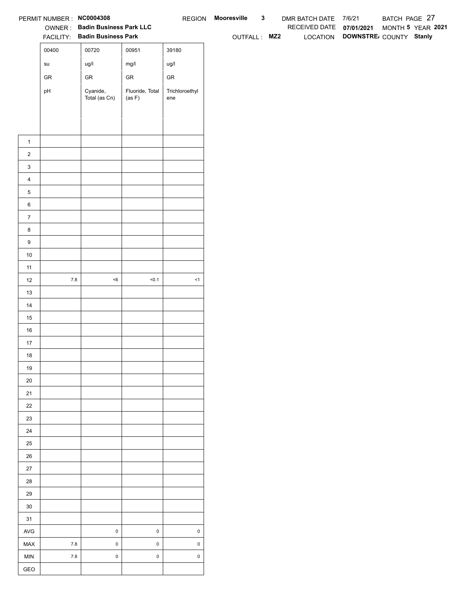|                  | PERMIT NUMBER : NC0004308             |                                                                 |                           |                       | REGION Mooresville | $\mathbf{3}$ | DMR BATCH DATE 7/6/21    |                                 | BATCH PAGE 27     |  |  |
|------------------|---------------------------------------|-----------------------------------------------------------------|---------------------------|-----------------------|--------------------|--------------|--------------------------|---------------------------------|-------------------|--|--|
|                  |                                       | OWNER: Badin Business Park LLC<br>FACILITY: Badin Business Park |                           |                       | OUTFALL: MZ2       |              | RECEIVED DATE 07/01/2021 | LOCATION DOWNSTRE COUNTY Stanly | MONTH 5 YEAR 2021 |  |  |
|                  |                                       |                                                                 |                           |                       |                    |              |                          |                                 |                   |  |  |
|                  | 00400                                 | 00720                                                           | 00951                     | 39180                 |                    |              |                          |                                 |                   |  |  |
|                  | $\operatorname{\mathsf{su}}\nolimits$ | ug/l                                                            | mg/l                      | ug/l                  |                    |              |                          |                                 |                   |  |  |
|                  | ${\sf GR}$                            | ${\sf GR}$                                                      | ${\sf GR}$                | ${\sf GR}$            |                    |              |                          |                                 |                   |  |  |
|                  | pH                                    | Cyanide,<br>Total (as Cn)                                       | Fluoride, Total<br>(as F) | Trichloroethyl<br>ene |                    |              |                          |                                 |                   |  |  |
|                  |                                       |                                                                 |                           |                       |                    |              |                          |                                 |                   |  |  |
|                  |                                       |                                                                 |                           |                       |                    |              |                          |                                 |                   |  |  |
|                  |                                       |                                                                 |                           |                       |                    |              |                          |                                 |                   |  |  |
| $\mathbf{1}$     |                                       |                                                                 |                           |                       |                    |              |                          |                                 |                   |  |  |
| $\overline{2}$   |                                       |                                                                 |                           |                       |                    |              |                          |                                 |                   |  |  |
| $\mathbf{3}$     |                                       |                                                                 |                           |                       |                    |              |                          |                                 |                   |  |  |
| $\overline{4}$   |                                       |                                                                 |                           |                       |                    |              |                          |                                 |                   |  |  |
| $\mathbf 5$      |                                       |                                                                 |                           |                       |                    |              |                          |                                 |                   |  |  |
| $\,6\,$          |                                       |                                                                 |                           |                       |                    |              |                          |                                 |                   |  |  |
| $\overline{7}$   |                                       |                                                                 |                           |                       |                    |              |                          |                                 |                   |  |  |
| 8                |                                       |                                                                 |                           |                       |                    |              |                          |                                 |                   |  |  |
| $\boldsymbol{9}$ |                                       |                                                                 |                           |                       |                    |              |                          |                                 |                   |  |  |
| 10               |                                       |                                                                 |                           |                       |                    |              |                          |                                 |                   |  |  |
| 11               |                                       |                                                                 |                           |                       |                    |              |                          |                                 |                   |  |  |
| 12               | $7.8\,$                               | $<\!6$                                                          | < 0.1                     | $\leq$ 1              |                    |              |                          |                                 |                   |  |  |
| 13               |                                       |                                                                 |                           |                       |                    |              |                          |                                 |                   |  |  |
| 14               |                                       |                                                                 |                           |                       |                    |              |                          |                                 |                   |  |  |
| 15               |                                       |                                                                 |                           |                       |                    |              |                          |                                 |                   |  |  |
| $16\,$           |                                       |                                                                 |                           |                       |                    |              |                          |                                 |                   |  |  |
| 17               |                                       |                                                                 |                           |                       |                    |              |                          |                                 |                   |  |  |
| 18               |                                       |                                                                 |                           |                       |                    |              |                          |                                 |                   |  |  |
| 19               |                                       |                                                                 |                           |                       |                    |              |                          |                                 |                   |  |  |
| $20\,$           |                                       |                                                                 |                           |                       |                    |              |                          |                                 |                   |  |  |
| 21               |                                       |                                                                 |                           |                       |                    |              |                          |                                 |                   |  |  |
| $22\,$<br>23     |                                       |                                                                 |                           |                       |                    |              |                          |                                 |                   |  |  |
| 24               |                                       |                                                                 |                           |                       |                    |              |                          |                                 |                   |  |  |
| $25\,$           |                                       |                                                                 |                           |                       |                    |              |                          |                                 |                   |  |  |
| $26\,$           |                                       |                                                                 |                           |                       |                    |              |                          |                                 |                   |  |  |
| $27\,$           |                                       |                                                                 |                           |                       |                    |              |                          |                                 |                   |  |  |
| 28               |                                       |                                                                 |                           |                       |                    |              |                          |                                 |                   |  |  |
| 29               |                                       |                                                                 |                           |                       |                    |              |                          |                                 |                   |  |  |
| $30\,$           |                                       |                                                                 |                           |                       |                    |              |                          |                                 |                   |  |  |
| 31               |                                       |                                                                 |                           |                       |                    |              |                          |                                 |                   |  |  |
| $\mathsf{AVG}$   |                                       | $\,0\,$                                                         | $\mathsf 0$               | $\mathsf{O}\xspace$   |                    |              |                          |                                 |                   |  |  |
| MAX              | $7.8\,$                               | $\mathbf 0$                                                     | $\mathbf 0$               | $\mathsf 0$           |                    |              |                          |                                 |                   |  |  |
| <b>MIN</b>       | $7.8$                                 | $\pmb{0}$                                                       | $\mathsf{O}\xspace$       | $\mathsf 0$           |                    |              |                          |                                 |                   |  |  |
|                  |                                       |                                                                 |                           |                       |                    |              |                          |                                 |                   |  |  |